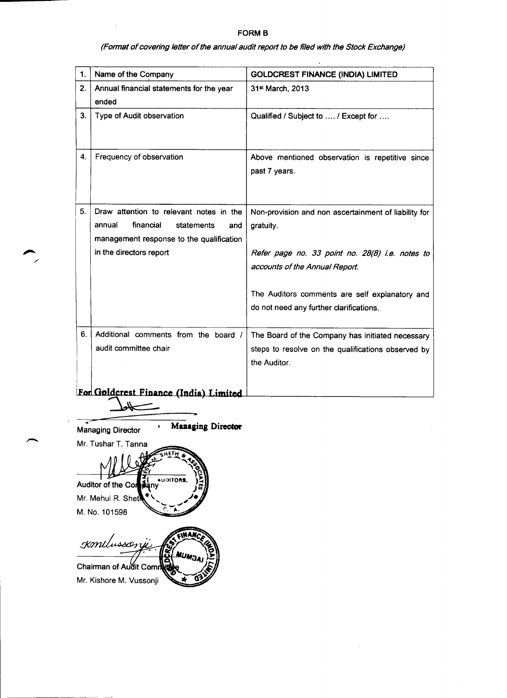# **FORM B**

(Format of covering letter of the annual audit report to be filed with the Stock Exchange)

 $\bullet$ 

| 1. | Name of the Company                               | <b>GOLDCREST FINANCE (INDIA) LIMITED</b>                         |
|----|---------------------------------------------------|------------------------------------------------------------------|
| 2. | Annual financial statements for the year<br>ended | 31 <sup>st</sup> March, 2013                                     |
| 3. | <b>Type of Audit observation</b>                  | Qualified / Subject to  / Except for                             |
| 4. | Frequency of observation                          | Above mentioned observation is repetitive since<br>past 7 years. |

| 5 <sub>1</sub> | Draw attention to relevant notes in the  <br>financial<br>statements<br>annual<br>and<br>management response to the qualification | Non-provision and non ascertainment of liability for<br>gratuity.                                      |
|----------------|-----------------------------------------------------------------------------------------------------------------------------------|--------------------------------------------------------------------------------------------------------|
|                | in the directors report                                                                                                           | Refer page no. 33 point no. 28(8) i.e. notes to<br>accounts of the Annual Report.                      |
|                |                                                                                                                                   | The Auditors comments are self explanatory and<br>do not need any further clarifications.              |
| 6.             | Additional comments from the board /<br>audit committee chair                                                                     | The Board of the Company has initiated necessary<br>steps to resolve on the qualifications observed by |



 $\sim$ 



. ———

 $\overline{\phantom{0}}$ 

 $\sim$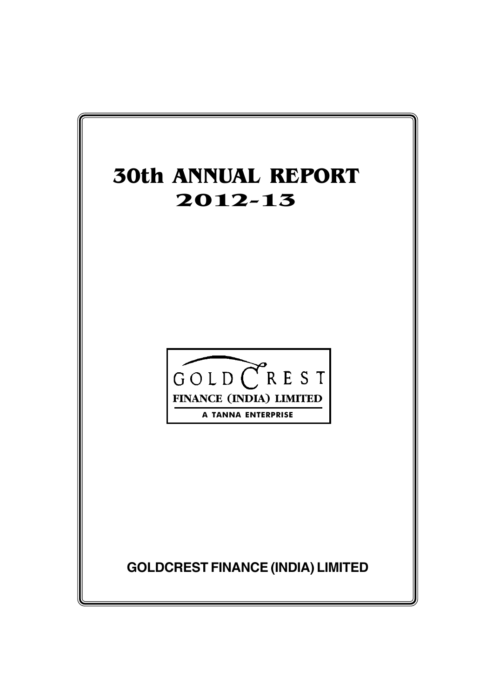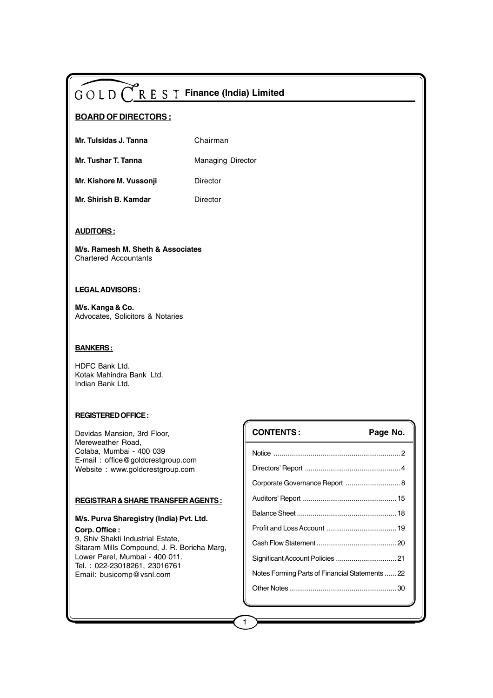## **BOARD OF DIRECTORS :**

| Mr. Tulsidas J. Tanna | Chairman |
|-----------------------|----------|
|-----------------------|----------|

**Mr. Tushar T. Tanna** Managing Director

**Mr. Kishore M. Vussonji Director** 

**Mr. Shirish B. Kamdar** Director

#### **AUDITORS :**

**M/s. Ramesh M. Sheth & Associates** Chartered Accountants

#### **LEGAL ADVISORS :**

**M/s. Kanga & Co.** Advocates, Solicitors & Notaries

#### **BANKERS :**

HDFC Bank Ltd. Kotak Mahindra Bank Ltd. Indian Bank Ltd.

#### **REGISTERED OFFICE :**

Devidas Mansion, 3rd Floor, Mereweather Road, Colaba, Mumbai - 400 039 E-mail : office@goldcrestgroup.com Website : www.goldcrestgroup.com

#### **REGISTRAR & SHARE TRANSFER AGENTS :**

#### **M/s. Purva Sharegistry (India) Pvt. Ltd. Corp. Office :**

9, Shiv Shakti Industrial Estate, Sitaram Mills Compound, J. R. Boricha Marg, Lower Parel, Mumbai - 400 011. Tel. : 022-23018261, 23016761 Email: busicomp@vsnl.com

| <b>CONTENTS:</b>                                | Page No. |
|-------------------------------------------------|----------|
|                                                 |          |
|                                                 |          |
| Corporate Governance Report  8                  |          |
|                                                 |          |
|                                                 |          |
|                                                 |          |
|                                                 |          |
| Significant Account Policies  21                |          |
| Notes Forming Parts of Financial Statements  22 |          |
|                                                 |          |
|                                                 |          |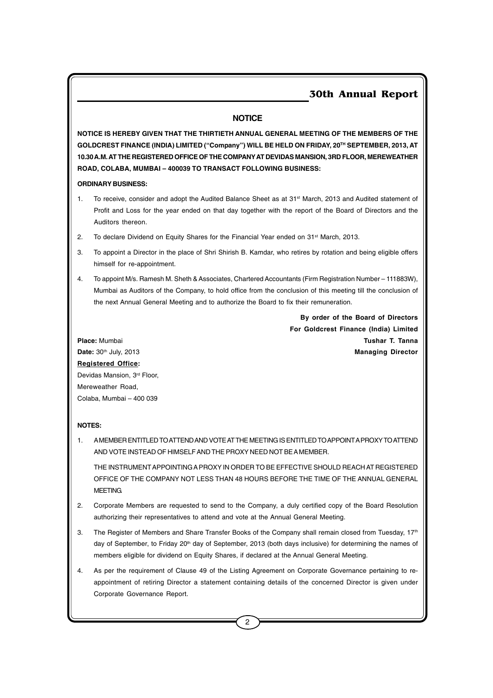#### **NOTICE**

**NOTICE IS HEREBY GIVEN THAT THE THIRTIETH ANNUAL GENERAL MEETING OF THE MEMBERS OF THE GOLDCREST FINANCE (INDIA) LIMITED ("Company") WILL BE HELD ON FRIDAY, 20TH SEPTEMBER, 2013, AT 10.30 A.M. AT THE REGISTERED OFFICE OF THE COMPANY AT DEVIDAS MANSION, 3RD FLOOR, MEREWEATHER ROAD, COLABA, MUMBAI – 400039 TO TRANSACT FOLLOWING BUSINESS:**

**ORDINARY BUSINESS:**

- 1. To receive, consider and adopt the Audited Balance Sheet as at 31<sup>st</sup> March, 2013 and Audited statement of Profit and Loss for the year ended on that day together with the report of the Board of Directors and the Auditors thereon.
- 2. To declare Dividend on Equity Shares for the Financial Year ended on 31<sup>st</sup> March, 2013.
- 3. To appoint a Director in the place of Shri Shirish B. Kamdar, who retires by rotation and being eligible offers himself for re-appointment.
- 4. To appoint M/s. Ramesh M. Sheth & Associates, Chartered Accountants (Firm Registration Number 111883W), Mumbai as Auditors of the Company, to hold office from the conclusion of this meeting till the conclusion of the next Annual General Meeting and to authorize the Board to fix their remuneration.

**By order of the Board of Directors For Goldcrest Finance (India) Limited Place:** Mumbai **Tushar T. Tanna Date:** 30th July, 2013 **Managing Director**

**Registered Office:** Devidas Mansion, 3rd Floor, Mereweather Road, Colaba, Mumbai – 400 039

#### **NOTES:**

1. A MEMBER ENTITLED TO ATTEND AND VOTE AT THE MEETING IS ENTITLED TO APPOINT A PROXY TO ATTEND AND VOTE INSTEAD OF HIMSELF AND THE PROXY NEED NOT BE A MEMBER.

THE INSTRUMENT APPOINTING A PROXY IN ORDER TO BE EFFECTIVE SHOULD REACH AT REGISTERED OFFICE OF THE COMPANY NOT LESS THAN 48 HOURS BEFORE THE TIME OF THE ANNUAL GENERAL **MEETING.** 

- 2. Corporate Members are requested to send to the Company, a duly certified copy of the Board Resolution authorizing their representatives to attend and vote at the Annual General Meeting.
- 3. The Register of Members and Share Transfer Books of the Company shall remain closed from Tuesday,  $17<sup>th</sup>$ day of September, to Friday 20<sup>th</sup> day of September, 2013 (both days inclusive) for determining the names of members eligible for dividend on Equity Shares, if declared at the Annual General Meeting.
- 4. As per the requirement of Clause 49 of the Listing Agreement on Corporate Governance pertaining to reappointment of retiring Director a statement containing details of the concerned Director is given under Corporate Governance Report.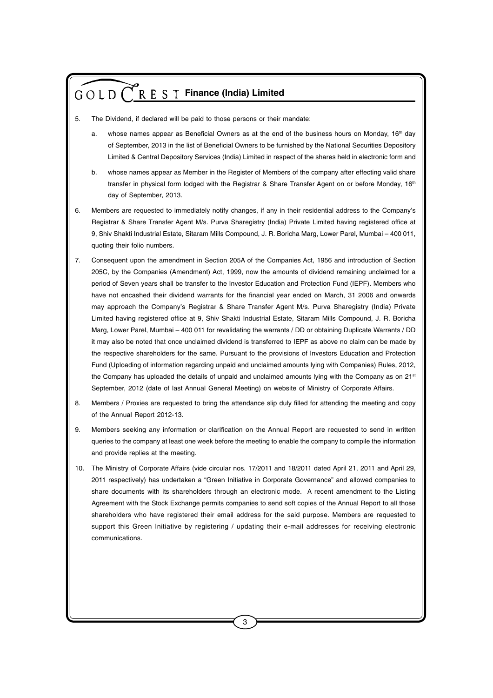- 5. The Dividend, if declared will be paid to those persons or their mandate:
	- a. whose names appear as Beneficial Owners as at the end of the business hours on Monday, 16<sup>th</sup> day of September, 2013 in the list of Beneficial Owners to be furnished by the National Securities Depository Limited & Central Depository Services (India) Limited in respect of the shares held in electronic form and
	- b. whose names appear as Member in the Register of Members of the company after effecting valid share transfer in physical form lodged with the Registrar & Share Transfer Agent on or before Monday, 16<sup>th</sup> day of September, 2013.
- 6. Members are requested to immediately notify changes, if any in their residential address to the Company's Registrar & Share Transfer Agent M/s. Purva Sharegistry (India) Private Limited having registered office at 9, Shiv Shakti Industrial Estate, Sitaram Mills Compound, J. R. Boricha Marg, Lower Parel, Mumbai – 400 011, quoting their folio numbers.
- 7. Consequent upon the amendment in Section 205A of the Companies Act, 1956 and introduction of Section 205C, by the Companies (Amendment) Act, 1999, now the amounts of dividend remaining unclaimed for a period of Seven years shall be transfer to the Investor Education and Protection Fund (IEPF). Members who have not encashed their dividend warrants for the financial year ended on March, 31 2006 and onwards may approach the Company's Registrar & Share Transfer Agent M/s. Purva Sharegistry (India) Private Limited having registered office at 9, Shiv Shakti Industrial Estate, Sitaram Mills Compound, J. R. Boricha Marg, Lower Parel, Mumbai – 400 011 for revalidating the warrants / DD or obtaining Duplicate Warrants / DD it may also be noted that once unclaimed dividend is transferred to IEPF as above no claim can be made by the respective shareholders for the same. Pursuant to the provisions of Investors Education and Protection Fund (Uploading of information regarding unpaid and unclaimed amounts lying with Companies) Rules, 2012, the Company has uploaded the details of unpaid and unclaimed amounts lying with the Company as on 21<sup>st</sup> September, 2012 (date of last Annual General Meeting) on website of Ministry of Corporate Affairs.
- 8. Members / Proxies are requested to bring the attendance slip duly filled for attending the meeting and copy of the Annual Report 2012-13.
- 9. Members seeking any information or clarification on the Annual Report are requested to send in written queries to the company at least one week before the meeting to enable the company to compile the information and provide replies at the meeting.
- 10. The Ministry of Corporate Affairs (vide circular nos. 17/2011 and 18/2011 dated April 21, 2011 and April 29, 2011 respectively) has undertaken a "Green Initiative in Corporate Governance" and allowed companies to share documents with its shareholders through an electronic mode. A recent amendment to the Listing Agreement with the Stock Exchange permits companies to send soft copies of the Annual Report to all those shareholders who have registered their email address for the said purpose. Members are requested to support this Green Initiative by registering / updating their e-mail addresses for receiving electronic communications.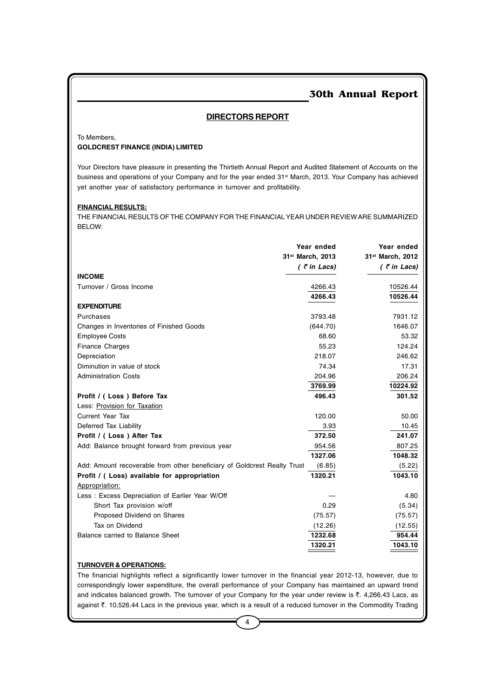#### **DIRECTORS REPORT**

To Members,

#### **GOLDCREST FINANCE (INDIA) LIMITED**

Your Directors have pleasure in presenting the Thirtieth Annual Report and Audited Statement of Accounts on the business and operations of your Company and for the year ended 31<sup>st</sup> March, 2013. Your Company has achieved yet another year of satisfactory performance in turnover and profitability.

#### **FINANCIAL RESULTS:**

THE FINANCIAL RESULTS OF THE COMPANY FOR THE FINANCIAL YEAR UNDER REVIEW ARE SUMMARIZED BELOW:

|                                                                          | Year ended<br>31 <sup>st</sup> March, 2013 | Year ended<br>31 <sup>st</sup> March, 2012 |
|--------------------------------------------------------------------------|--------------------------------------------|--------------------------------------------|
|                                                                          | $($ ₹ in Lacs)                             | $($ $\bar{z}$ in Lacs)                     |
| <b>INCOME</b>                                                            |                                            |                                            |
| Turnover / Gross Income                                                  | 4266.43                                    | 10526.44                                   |
|                                                                          | 4266.43                                    | 10526.44                                   |
| <b>EXPENDITURE</b>                                                       |                                            |                                            |
| Purchases                                                                | 3793.48                                    | 7931.12                                    |
| Changes in Inventories of Finished Goods                                 | (644.70)                                   | 1646.07                                    |
| <b>Employee Costs</b>                                                    | 68.60                                      | 53.32                                      |
| <b>Finance Charges</b>                                                   | 55.23                                      | 124.24                                     |
| Depreciation                                                             | 218.07                                     | 246.62                                     |
| Diminution in value of stock                                             | 74.34                                      | 17.31                                      |
| <b>Administration Costs</b>                                              | 204.96                                     | 206.24                                     |
|                                                                          | 3769.99                                    | 10224.92                                   |
| Profit / (Loss) Before Tax                                               | 496.43                                     | 301.52                                     |
| Less: Provision for Taxation                                             |                                            |                                            |
| <b>Current Year Tax</b>                                                  | 120.00                                     | 50.00                                      |
| Deferred Tax Liability                                                   | 3.93                                       | 10.45                                      |
| Profit / (Loss) After Tax                                                | 372.50                                     | 241.07                                     |
| Add: Balance brought forward from previous year                          | 954.56                                     | 807.25                                     |
|                                                                          | 1327.06                                    | 1048.32                                    |
| Add: Amount recoverable from other beneficiary of Goldcrest Realty Trust | (6.85)                                     | (5.22)                                     |
| Profit / (Loss) available for appropriation                              | 1320.21                                    | 1043.10                                    |
| Appropriation:                                                           |                                            |                                            |
| Less: Excess Depreciation of Earlier Year W/Off                          |                                            | 4.80                                       |
| Short Tax provision w/off                                                | 0.29                                       | (5.34)                                     |
| Proposed Dividend on Shares                                              | (75.57)                                    | (75.57)                                    |
| Tax on Dividend                                                          | (12.26)                                    | (12.55)                                    |
| Balance carried to Balance Sheet                                         | 1232.68                                    | 954.44                                     |
|                                                                          | 1320.21                                    | 1043.10                                    |

#### **TURNOVER & OPERATIONS:**

The financial highlights reflect a significantly lower turnover in the financial year 2012-13, however, due to correspondingly lower expenditure, the overall performance of your Company has maintained an upward trend and indicates balanced growth. The turnover of your Company for the year under review is  $\bar{\tau}$ . 4,266.43 Lacs, as against ₹. 10,526.44 Lacs in the previous year, which is a result of a reduced turnover in the Commodity Trading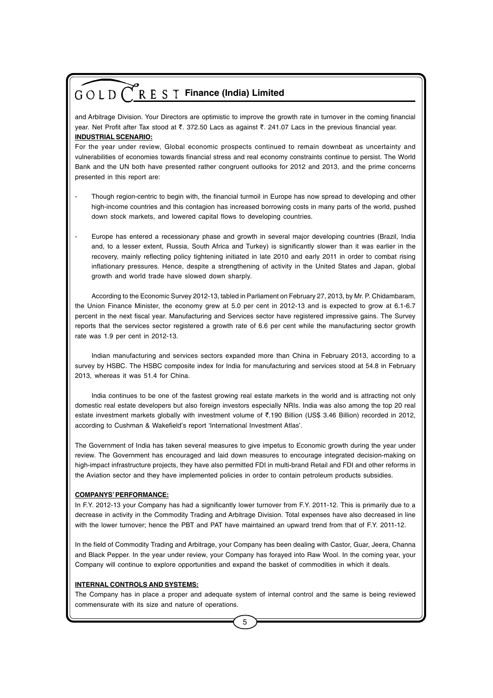and Arbitrage Division. Your Directors are optimistic to improve the growth rate in turnover in the coming financial year. Net Profit after Tax stood at ₹. 372.50 Lacs as against ₹. 241.07 Lacs in the previous financial year. **INDUSTRIAL SCENARIO:**

For the year under review, Global economic prospects continued to remain downbeat as uncertainty and vulnerabilities of economies towards financial stress and real economy constraints continue to persist. The World Bank and the UN both have presented rather congruent outlooks for 2012 and 2013, and the prime concerns presented in this report are:

- Though region-centric to begin with, the financial turmoil in Europe has now spread to developing and other high-income countries and this contagion has increased borrowing costs in many parts of the world, pushed down stock markets, and lowered capital flows to developing countries.
- Europe has entered a recessionary phase and growth in several major developing countries (Brazil, India and, to a lesser extent, Russia, South Africa and Turkey) is significantly slower than it was earlier in the recovery, mainly reflecting policy tightening initiated in late 2010 and early 2011 in order to combat rising inflationary pressures. Hence, despite a strengthening of activity in the United States and Japan, global growth and world trade have slowed down sharply.

According to the Economic Survey 2012-13, tabled in Parliament on February 27, 2013, by Mr. P. Chidambaram, the Union Finance Minister, the economy grew at 5.0 per cent in 2012-13 and is expected to grow at 6.1-6.7 percent in the next fiscal year. Manufacturing and Services sector have registered impressive gains. The Survey reports that the services sector registered a growth rate of 6.6 per cent while the manufacturing sector growth rate was 1.9 per cent in 2012-13.

Indian manufacturing and services sectors expanded more than China in February 2013, according to a survey by HSBC. The HSBC composite index for India for manufacturing and services stood at 54.8 in February 2013, whereas it was 51.4 for China.

India continues to be one of the fastest growing real estate markets in the world and is attracting not only domestic real estate developers but also foreign investors especially NRIs. India was also among the top 20 real estate investment markets globally with investment volume of ₹.190 Billion (US\$ 3.46 Billion) recorded in 2012, according to Cushman & Wakefield's report 'International Investment Atlas'.

The Government of India has taken several measures to give impetus to Economic growth during the year under review. The Government has encouraged and laid down measures to encourage integrated decision-making on high-impact infrastructure projects, they have also permitted FDI in multi-brand Retail and FDI and other reforms in the Aviation sector and they have implemented policies in order to contain petroleum products subsidies.

#### **COMPANYS' PERFORMANCE:**

In F.Y. 2012-13 your Company has had a significantly lower turnover from F.Y. 2011-12. This is primarily due to a decrease in activity in the Commodity Trading and Arbitrage Division. Total expenses have also decreased in line with the lower turnover; hence the PBT and PAT have maintained an upward trend from that of F.Y. 2011-12.

In the field of Commodity Trading and Arbitrage, your Company has been dealing with Castor, Guar, Jeera, Channa and Black Pepper. In the year under review, your Company has forayed into Raw Wool. In the coming year, your Company will continue to explore opportunities and expand the basket of commodities in which it deals.

#### **INTERNAL CONTROLS AND SYSTEMS:**

The Company has in place a proper and adequate system of internal control and the same is being reviewed commensurate with its size and nature of operations.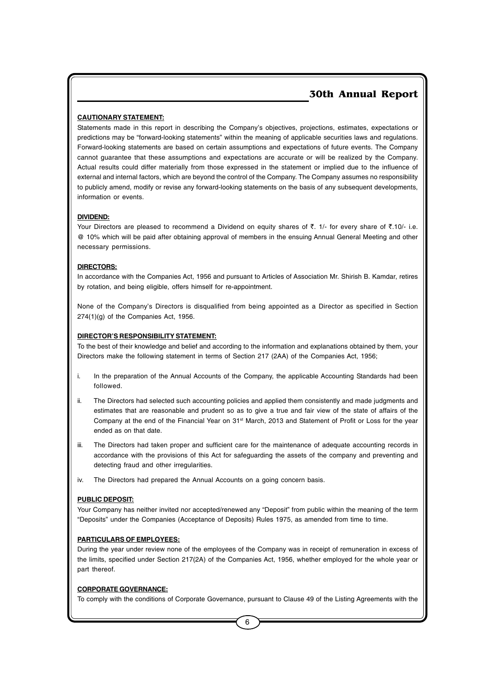#### **CAUTIONARY STATEMENT:**

Statements made in this report in describing the Company's objectives, projections, estimates, expectations or predictions may be "forward-looking statements" within the meaning of applicable securities laws and regulations. Forward-looking statements are based on certain assumptions and expectations of future events. The Company cannot guarantee that these assumptions and expectations are accurate or will be realized by the Company. Actual results could differ materially from those expressed in the statement or implied due to the influence of external and internal factors, which are beyond the control of the Company. The Company assumes no responsibility to publicly amend, modify or revise any forward-looking statements on the basis of any subsequent developments, information or events.

#### **DIVIDEND:**

Your Directors are pleased to recommend a Dividend on equity shares of  $\bar{\tau}$ . 1/- for every share of  $\bar{\tau}$ .10/- i.e. @ 10% which will be paid after obtaining approval of members in the ensuing Annual General Meeting and other necessary permissions.

#### **DIRECTORS:**

In accordance with the Companies Act, 1956 and pursuant to Articles of Association Mr. Shirish B. Kamdar, retires by rotation, and being eligible, offers himself for re-appointment.

None of the Company's Directors is disqualified from being appointed as a Director as specified in Section 274(1)(g) of the Companies Act, 1956.

#### **DIRECTOR'S RESPONSIBILITY STATEMENT:**

To the best of their knowledge and belief and according to the information and explanations obtained by them, your Directors make the following statement in terms of Section 217 (2AA) of the Companies Act, 1956;

- i. In the preparation of the Annual Accounts of the Company, the applicable Accounting Standards had been followed.
- ii. The Directors had selected such accounting policies and applied them consistently and made judgments and estimates that are reasonable and prudent so as to give a true and fair view of the state of affairs of the Company at the end of the Financial Year on 31st March, 2013 and Statement of Profit or Loss for the year ended as on that date.
- iii. The Directors had taken proper and sufficient care for the maintenance of adequate accounting records in accordance with the provisions of this Act for safeguarding the assets of the company and preventing and detecting fraud and other irregularities.
- iv. The Directors had prepared the Annual Accounts on a going concern basis.

#### **PUBLIC DEPOSIT:**

Your Company has neither invited nor accepted/renewed any "Deposit" from public within the meaning of the term "Deposits" under the Companies (Acceptance of Deposits) Rules 1975, as amended from time to time.

#### **PARTICULARS OF EMPLOYEES:**

During the year under review none of the employees of the Company was in receipt of remuneration in excess of the limits, specified under Section 217(2A) of the Companies Act, 1956, whether employed for the whole year or part thereof.

#### **CORPORATE GOVERNANCE:**

To comply with the conditions of Corporate Governance, pursuant to Clause 49 of the Listing Agreements with the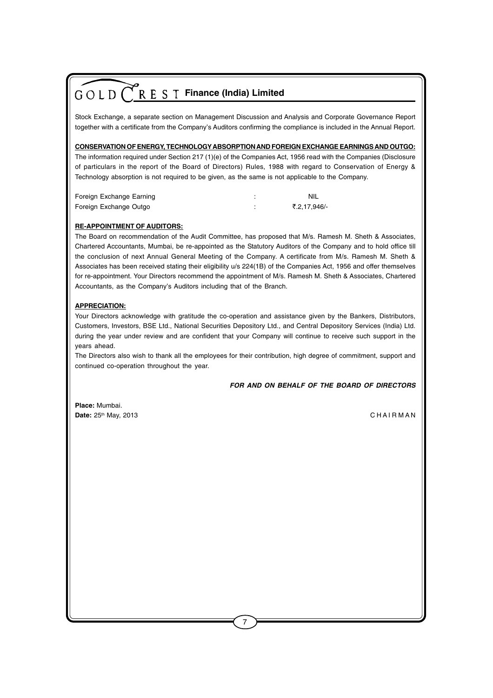Stock Exchange, a separate section on Management Discussion and Analysis and Corporate Governance Report together with a certificate from the Company's Auditors confirming the compliance is included in the Annual Report.

#### **CONSERVATION OF ENERGY, TECHNOLOGYABSORPTION AND FOREIGN EXCHANGE EARNINGS AND OUTGO:**

The information required under Section 217 (1)(e) of the Companies Act, 1956 read with the Companies (Disclosure of particulars in the report of the Board of Directors) Rules, 1988 with regard to Conservation of Energy & Technology absorption is not required to be given, as the same is not applicable to the Company.

| Foreign Exchange Earning | .NIL         |
|--------------------------|--------------|
| Foreign Exchange Outgo   | ₹.2.17.946/- |

#### **RE-APPOINTMENT OF AUDITORS:**

The Board on recommendation of the Audit Committee, has proposed that M/s. Ramesh M. Sheth & Associates, Chartered Accountants, Mumbai, be re-appointed as the Statutory Auditors of the Company and to hold office till the conclusion of next Annual General Meeting of the Company. A certificate from M/s. Ramesh M. Sheth & Associates has been received stating their eligibility u/s 224(1B) of the Companies Act, 1956 and offer themselves for re-appointment. Your Directors recommend the appointment of M/s. Ramesh M. Sheth & Associates, Chartered Accountants, as the Company's Auditors including that of the Branch.

#### **APPRECIATION:**

Your Directors acknowledge with gratitude the co-operation and assistance given by the Bankers, Distributors, Customers, Investors, BSE Ltd., National Securities Depository Ltd., and Central Depository Services (India) Ltd. during the year under review and are confident that your Company will continue to receive such support in the years ahead.

The Directors also wish to thank all the employees for their contribution, high degree of commitment, support and continued co-operation throughout the year.

*FOR AND ON BEHALF OF THE BOARD OF DIRECTORS*

**Place:** Mumbai. **Date:**  $25<sup>th</sup>$  May, 2013 **C HAI R M A N** C HAI R M A N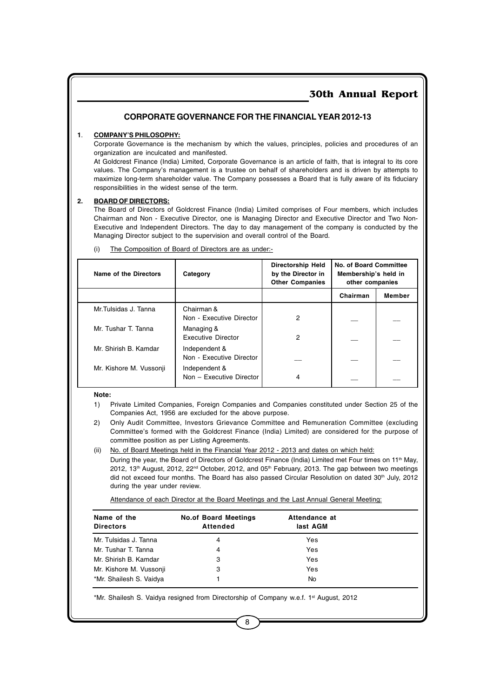#### **CORPORATE GOVERNANCE FOR THE FINANCIAL YEAR 2012-13**

#### **1**. **COMPANY'S PHILOSOPHY:**

Corporate Governance is the mechanism by which the values, principles, policies and procedures of an organization are inculcated and manifested.

At Goldcrest Finance (India) Limited, Corporate Governance is an article of faith, that is integral to its core values. The Company's management is a trustee on behalf of shareholders and is driven by attempts to maximize long-term shareholder value. The Company possesses a Board that is fully aware of its fiduciary responsibilities in the widest sense of the term.

#### **2. BOARD OF DIRECTORS:**

The Board of Directors of Goldcrest Finance (India) Limited comprises of Four members, which includes Chairman and Non - Executive Director, one is Managing Director and Executive Director and Two Non-Executive and Independent Directors. The day to day management of the company is conducted by the Managing Director subject to the supervision and overall control of the Board.

| Name of the Directors   | Category                                  | <b>Directorship Held</b><br>by the Director in<br><b>Other Companies</b> | No. of Board Committee<br>Membership's held in<br>other companies |        |
|-------------------------|-------------------------------------------|--------------------------------------------------------------------------|-------------------------------------------------------------------|--------|
|                         |                                           |                                                                          | Chairman                                                          | Member |
| Mr.Tulsidas J. Tanna    | Chairman &<br>Non - Executive Director    | 2                                                                        |                                                                   |        |
| Mr. Tushar T. Tanna     | Managing &<br><b>Executive Director</b>   | 2                                                                        |                                                                   |        |
| Mr. Shirish B. Kamdar   | Independent &<br>Non - Executive Director |                                                                          |                                                                   |        |
| Mr. Kishore M. Vussonji | Independent &<br>Non - Executive Director | 4                                                                        |                                                                   |        |

(i) The Composition of Board of Directors are as under:-

#### **Note:**

1) Private Limited Companies, Foreign Companies and Companies constituted under Section 25 of the Companies Act, 1956 are excluded for the above purpose.

- 2) Only Audit Committee, Investors Grievance Committee and Remuneration Committee (excluding Committee's formed with the Goldcrest Finance (India) Limited) are considered for the purpose of committee position as per Listing Agreements.
- (ii) No. of Board Meetings held in the Financial Year 2012 2013 and dates on which held:

During the year, the Board of Directors of Goldcrest Finance (India) Limited met Four times on 11<sup>th</sup> May, 2012, 13<sup>th</sup> August, 2012, 22<sup>nd</sup> October, 2012, and 05<sup>th</sup> February, 2013. The gap between two meetings did not exceed four months. The Board has also passed Circular Resolution on dated 30<sup>th</sup> July, 2012 during the year under review.

Attendance of each Director at the Board Meetings and the Last Annual General Meeting:

| Name of the<br><b>Directors</b> | <b>No.of Board Meetings</b><br>Attended | Attendance at<br>last AGM |  |
|---------------------------------|-----------------------------------------|---------------------------|--|
| Mr. Tulsidas J. Tanna           | 4                                       | Yes                       |  |
| Mr. Tushar T. Tanna             | 4                                       | Yes                       |  |
| Mr. Shirish B. Kamdar           | 3                                       | Yes                       |  |
| Mr. Kishore M. Vussonji         | 3                                       | Yes                       |  |
| *Mr. Shailesh S. Vaidya         |                                         | No                        |  |

\*Mr. Shailesh S. Vaidya resigned from Directorship of Company w.e.f. 1<sup>st</sup> August, 2012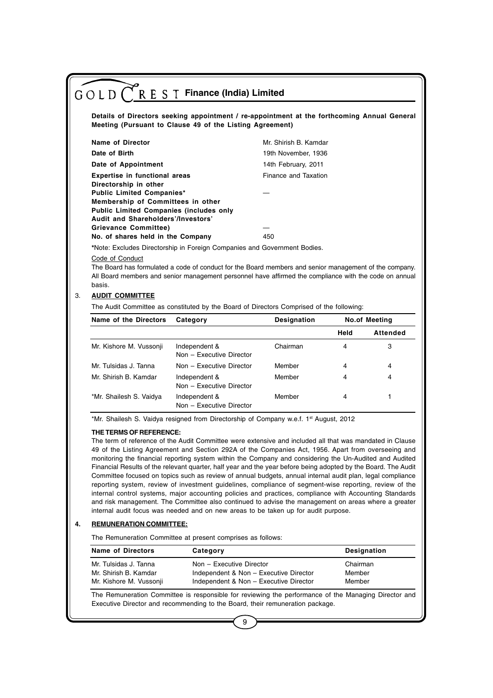|                                                                | Meeting (Pursuant to Clause 49 of the Listing Agreement)                                                                                                                                                                                                                                     |                       |             | Details of Directors seeking appointment / re-appointment at the forthcoming Annual General |
|----------------------------------------------------------------|----------------------------------------------------------------------------------------------------------------------------------------------------------------------------------------------------------------------------------------------------------------------------------------------|-----------------------|-------------|---------------------------------------------------------------------------------------------|
| <b>Name of Director</b>                                        |                                                                                                                                                                                                                                                                                              | Mr. Shirish B. Kamdar |             |                                                                                             |
| Date of Birth                                                  |                                                                                                                                                                                                                                                                                              | 19th November, 1936   |             |                                                                                             |
| Date of Appointment                                            |                                                                                                                                                                                                                                                                                              | 14th February, 2011   |             |                                                                                             |
| <b>Expertise in functional areas</b>                           |                                                                                                                                                                                                                                                                                              | Finance and Taxation  |             |                                                                                             |
| Directorship in other<br><b>Public Limited Companies*</b>      |                                                                                                                                                                                                                                                                                              |                       |             |                                                                                             |
| Membership of Committees in other                              |                                                                                                                                                                                                                                                                                              |                       |             |                                                                                             |
| <b>Public Limited Companies (includes only</b>                 |                                                                                                                                                                                                                                                                                              |                       |             |                                                                                             |
| Audit and Shareholders'/Investors'                             |                                                                                                                                                                                                                                                                                              |                       |             |                                                                                             |
| Grievance Committee)                                           |                                                                                                                                                                                                                                                                                              |                       |             |                                                                                             |
|                                                                |                                                                                                                                                                                                                                                                                              |                       |             |                                                                                             |
| No. of shares held in the Company<br>Code of Conduct<br>basis. | *Note: Excludes Directorship in Foreign Companies and Government Bodies.<br>The Board has formulated a code of conduct for the Board members and senior management of the company.<br>All Board members and senior management personnel have affirmed the compliance with the code on annual | 450                   |             |                                                                                             |
| <b>AUDIT COMMITTEE</b>                                         | The Audit Committee as constituted by the Board of Directors Comprised of the following:                                                                                                                                                                                                     |                       |             |                                                                                             |
| Name of the Directors                                          | Category                                                                                                                                                                                                                                                                                     | Designation           |             | <b>No.of Meeting</b>                                                                        |
|                                                                |                                                                                                                                                                                                                                                                                              |                       | <b>Held</b> |                                                                                             |
| Mr. Kishore M. Vussonji                                        | Independent &<br>Non - Executive Director                                                                                                                                                                                                                                                    | Chairman              | 4           | 3                                                                                           |
| Mr. Tulsidas J. Tanna                                          | Non - Executive Director                                                                                                                                                                                                                                                                     | Member                | 4           | 4                                                                                           |
| Mr. Shirish B. Kamdar                                          | Independent &<br>Non - Executive Director                                                                                                                                                                                                                                                    | Member                | 4           | 4                                                                                           |
| *Mr. Shailesh S. Vaidya                                        | Independent &<br>Non - Executive Director                                                                                                                                                                                                                                                    | Member                | 4           | <b>Attended</b><br>1                                                                        |

Committee focused on topics such as review of annual budgets, annual internal audit plan, legal compliance reporting system, review of investment guidelines, compliance of segment-wise reporting, review of the internal control systems, major accounting policies and practices, compliance with Accounting Standards and risk management. The Committee also continued to advise the management on areas where a greater internal audit focus was needed and on new areas to be taken up for audit purpose.

#### **4. REMUNERATION COMMITTEE:**

The Remuneration Committee at present comprises as follows:

| <b>Name of Directors</b> | Category                               | <b>Designation</b> |
|--------------------------|----------------------------------------|--------------------|
| Mr. Tulsidas J. Tanna    | Non - Executive Director               | Chairman           |
| Mr. Shirish B. Kamdar    | Independent & Non - Executive Director | Member             |
| Mr. Kishore M. Vussonji  | Independent & Non - Executive Director | Member             |

The Remuneration Committee is responsible for reviewing the performance of the Managing Director and Executive Director and recommending to the Board, their remuneration package.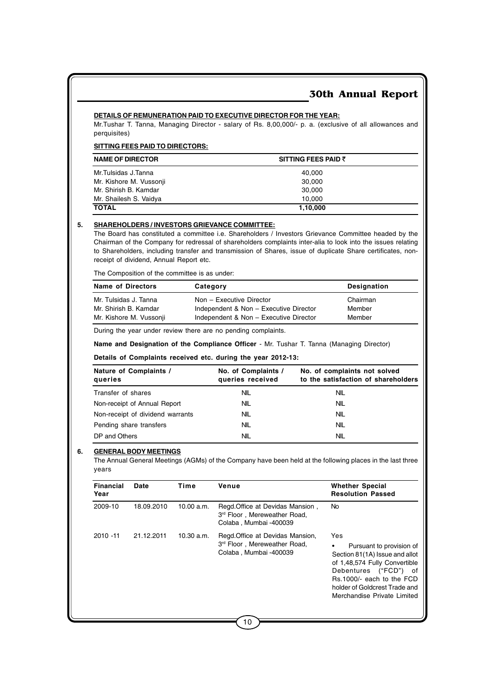#### **DETAILS OF REMUNERATION PAID TO EXECUTIVE DIRECTOR FOR THE YEAR:**

Mr.Tushar T. Tanna, Managing Director - salary of Rs. 8,00,000/- p. a. (exclusive of all allowances and perquisites)

#### **SITTING FEES PAID TO DIRECTORS:**

| <b>NAME OF DIRECTOR</b> | SITTING FEES PAID $\bar{z}$ |
|-------------------------|-----------------------------|
| Mr.Tulsidas J.Tanna     | 40.000                      |
| Mr. Kishore M. Vussonji | 30.000                      |
| Mr. Shirish B. Kamdar   | 30.000                      |
| Mr. Shailesh S. Vaidya  | 10.000                      |
| <b>TOTAL</b>            | 1,10,000                    |

#### **5. SHAREHOLDERS / INVESTORS GRIEVANCE COMMITTEE:**

The Board has constituted a committee i.e. Shareholders / Investors Grievance Committee headed by the Chairman of the Company for redressal of shareholders complaints inter-alia to look into the issues relating to Shareholders, including transfer and transmission of Shares, issue of duplicate Share certificates, nonreceipt of dividend, Annual Report etc.

The Composition of the committee is as under:

| <b>Name of Directors</b> | Category                               | <b>Designation</b> |
|--------------------------|----------------------------------------|--------------------|
| Mr. Tulsidas J. Tanna    | Non - Executive Director               | Chairman           |
| Mr. Shirish B. Kamdar    | Independent & Non - Executive Director | Member             |
| Mr. Kishore M. Vussonji  | Independent & Non - Executive Director | Member             |

During the year under review there are no pending complaints.

**Name and Designation of the Compliance Officer** - Mr. Tushar T. Tanna (Managing Director)

#### **Details of Complaints received etc. during the year 2012-13:**

| Nature of Complaints /<br>queries | No. of Complaints /<br>queries received | No. of complaints not solved<br>to the satisfaction of shareholders |  |
|-----------------------------------|-----------------------------------------|---------------------------------------------------------------------|--|
| Transfer of shares                | NIL                                     | NIL                                                                 |  |
| Non-receipt of Annual Report      | <b>NIL</b>                              | NIL                                                                 |  |
| Non-receipt of dividend warrants  | <b>NIL</b>                              | NIL                                                                 |  |
| Pending share transfers           | <b>NIL</b>                              | NIL                                                                 |  |
| DP and Others                     | NIL                                     | NIL                                                                 |  |

#### **6. GENERAL BODY MEETINGS**

The Annual General Meetings (AGMs) of the Company have been held at the following places in the last three years

| <b>Financial</b><br>Year | Date       | Time       | Venue                                                                                      | <b>Whether Special</b><br><b>Resolution Passed</b>                                                                                                                                                                          |
|--------------------------|------------|------------|--------------------------------------------------------------------------------------------|-----------------------------------------------------------------------------------------------------------------------------------------------------------------------------------------------------------------------------|
| 2009-10                  | 18.09.2010 | 10.00 a.m. | Regd. Office at Devidas Mansion,<br>3rd Floor, Mereweather Road.<br>Colaba, Mumbai -400039 | No.                                                                                                                                                                                                                         |
| $2010 - 11$              | 21.12.2011 | 10.30 a.m. | Regd. Office at Devidas Mansion,<br>3rd Floor, Mereweather Road,<br>Colaba, Mumbai -400039 | Yes<br>Pursuant to provision of<br>Section 81(1A) Issue and allot<br>of 1,48,574 Fully Convertible<br>("FCD") of<br>Debentures<br>Rs.1000/- each to the FCD<br>holder of Goldcrest Trade and<br>Merchandise Private Limited |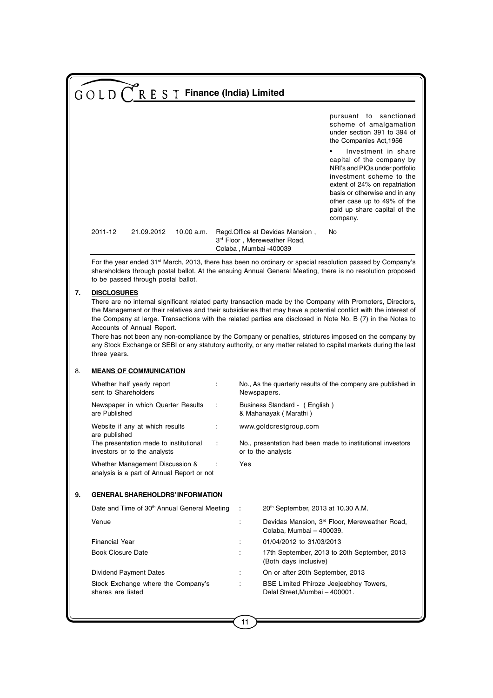|    | GOLD <sup>(</sup>                                                                                                                                                                                                                                                                                                                                                                                                                                                                                                                                                                                                                               |                                                                               | R E S T Finance (India) Limited |   |     |                                                                                           |                                                                                                                                                                                                                                                                                                                                                                              |
|----|-------------------------------------------------------------------------------------------------------------------------------------------------------------------------------------------------------------------------------------------------------------------------------------------------------------------------------------------------------------------------------------------------------------------------------------------------------------------------------------------------------------------------------------------------------------------------------------------------------------------------------------------------|-------------------------------------------------------------------------------|---------------------------------|---|-----|-------------------------------------------------------------------------------------------|------------------------------------------------------------------------------------------------------------------------------------------------------------------------------------------------------------------------------------------------------------------------------------------------------------------------------------------------------------------------------|
|    |                                                                                                                                                                                                                                                                                                                                                                                                                                                                                                                                                                                                                                                 |                                                                               |                                 |   |     |                                                                                           | pursuant to<br>sanctioned<br>scheme of amalgamation<br>under section 391 to 394 of<br>the Companies Act, 1956<br>Investment in share<br>capital of the company by<br>NRI's and PIOs under portfolio<br>investment scheme to the<br>extent of 24% on repatriation<br>basis or otherwise and in any<br>other case up to 49% of the<br>paid up share capital of the<br>company. |
|    | 2011-12                                                                                                                                                                                                                                                                                                                                                                                                                                                                                                                                                                                                                                         | 21.09.2012                                                                    | 10.00 a.m.                      |   |     | Regd Office at Devidas Mansion,<br>3rd Floor, Mereweather Road,<br>Colaba, Mumbai -400039 | No                                                                                                                                                                                                                                                                                                                                                                           |
|    |                                                                                                                                                                                                                                                                                                                                                                                                                                                                                                                                                                                                                                                 | to be passed through postal ballot.                                           |                                 |   |     |                                                                                           | For the year ended 31 <sup>st</sup> March, 2013, there has been no ordinary or special resolution passed by Company's<br>shareholders through postal ballot. At the ensuing Annual General Meeting, there is no resolution proposed                                                                                                                                          |
| 7. | <b>DISCLOSURES</b><br>There are no internal significant related party transaction made by the Company with Promoters, Directors,<br>the Management or their relatives and their subsidiaries that may have a potential conflict with the interest of<br>the Company at large. Transactions with the related parties are disclosed in Note No. B (7) in the Notes to<br>Accounts of Annual Report.<br>There has not been any non-compliance by the Company or penalties, strictures imposed on the company by<br>any Stock Exchange or SEBI or any statutory authority, or any matter related to capital markets during the last<br>three years. |                                                                               |                                 |   |     |                                                                                           |                                                                                                                                                                                                                                                                                                                                                                              |
| 8. |                                                                                                                                                                                                                                                                                                                                                                                                                                                                                                                                                                                                                                                 | <b>MEANS OF COMMUNICATION</b>                                                 |                                 |   |     |                                                                                           |                                                                                                                                                                                                                                                                                                                                                                              |
|    | sent to Shareholders                                                                                                                                                                                                                                                                                                                                                                                                                                                                                                                                                                                                                            | Whether half yearly report                                                    |                                 | ÷ |     | Newspapers.                                                                               | No., As the quarterly results of the company are published in                                                                                                                                                                                                                                                                                                                |
|    | are Published                                                                                                                                                                                                                                                                                                                                                                                                                                                                                                                                                                                                                                   | Newspaper in which Quarter Results                                            |                                 | ÷ |     | Business Standard - (English)<br>& Mahanayak (Marathi)                                    |                                                                                                                                                                                                                                                                                                                                                                              |
|    | are published                                                                                                                                                                                                                                                                                                                                                                                                                                                                                                                                                                                                                                   | Website if any at which results                                               |                                 |   |     | www.goldcrestgroup.com                                                                    |                                                                                                                                                                                                                                                                                                                                                                              |
|    |                                                                                                                                                                                                                                                                                                                                                                                                                                                                                                                                                                                                                                                 | The presentation made to institutional<br>investors or to the analysts        |                                 |   |     | or to the analysts                                                                        | No., presentation had been made to institutional investors                                                                                                                                                                                                                                                                                                                   |
|    |                                                                                                                                                                                                                                                                                                                                                                                                                                                                                                                                                                                                                                                 | Whether Management Discussion &<br>analysis is a part of Annual Report or not |                                 |   | Yes |                                                                                           |                                                                                                                                                                                                                                                                                                                                                                              |
| 9. |                                                                                                                                                                                                                                                                                                                                                                                                                                                                                                                                                                                                                                                 | <b>GENERAL SHAREHOLDRS' INFORMATION</b>                                       |                                 |   |     |                                                                                           |                                                                                                                                                                                                                                                                                                                                                                              |
|    |                                                                                                                                                                                                                                                                                                                                                                                                                                                                                                                                                                                                                                                 | Date and Time of 30th Annual General Meeting                                  |                                 |   | ÷   | 20 <sup>th</sup> September, 2013 at 10.30 A.M.                                            |                                                                                                                                                                                                                                                                                                                                                                              |
|    | Venue                                                                                                                                                                                                                                                                                                                                                                                                                                                                                                                                                                                                                                           |                                                                               |                                 |   | ÷   | Colaba, Mumbai - 400039.                                                                  | Devidas Mansion, 3rd Floor, Mereweather Road,                                                                                                                                                                                                                                                                                                                                |
|    | <b>Financial Year</b>                                                                                                                                                                                                                                                                                                                                                                                                                                                                                                                                                                                                                           |                                                                               |                                 |   | ÷   | 01/04/2012 to 31/03/2013                                                                  |                                                                                                                                                                                                                                                                                                                                                                              |
|    | <b>Book Closure Date</b>                                                                                                                                                                                                                                                                                                                                                                                                                                                                                                                                                                                                                        |                                                                               |                                 |   |     | (Both days inclusive)                                                                     | 17th September, 2013 to 20th September, 2013                                                                                                                                                                                                                                                                                                                                 |
|    |                                                                                                                                                                                                                                                                                                                                                                                                                                                                                                                                                                                                                                                 | Dividend Payment Dates                                                        |                                 |   | ÷   | On or after 20th September, 2013                                                          |                                                                                                                                                                                                                                                                                                                                                                              |
|    | shares are listed                                                                                                                                                                                                                                                                                                                                                                                                                                                                                                                                                                                                                               | Stock Exchange where the Company's                                            |                                 |   |     | Dalal Street, Mumbai - 400001.                                                            | BSE Limited Phiroze Jeejeebhoy Towers,                                                                                                                                                                                                                                                                                                                                       |
|    |                                                                                                                                                                                                                                                                                                                                                                                                                                                                                                                                                                                                                                                 |                                                                               |                                 |   |     |                                                                                           |                                                                                                                                                                                                                                                                                                                                                                              |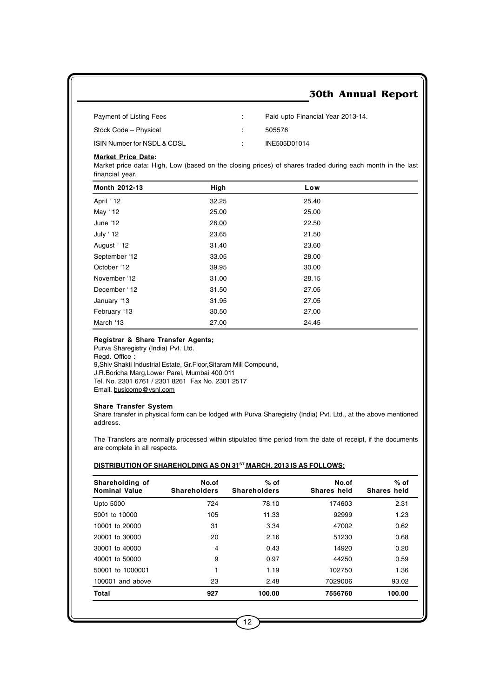| Payment of Listing Fees     | Paid upto Financial Year 2013-14. |
|-----------------------------|-----------------------------------|
| Stock Code – Physical       | 505576                            |
| ISIN Number for NSDL & CDSL | INE505D01014                      |

#### **Market Price Data:**

Market price data: High, Low (based on the closing prices) of shares traded during each month in the last financial year.

| Month 2012-13 | High  | Low   |  |
|---------------|-------|-------|--|
| April ' 12    | 32.25 | 25.40 |  |
| May ' 12      | 25.00 | 25.00 |  |
| June '12      | 26.00 | 22.50 |  |
| July ' 12     | 23.65 | 21.50 |  |
| August 12     | 31.40 | 23.60 |  |
| September '12 | 33.05 | 28.00 |  |
| October '12   | 39.95 | 30.00 |  |
| November '12  | 31.00 | 28.15 |  |
| December '12  | 31.50 | 27.05 |  |
| January '13   | 31.95 | 27.05 |  |
| February '13  | 30.50 | 27.00 |  |
| March '13     | 27.00 | 24.45 |  |

#### **Registrar & Share Transfer Agents;**

Purva Sharegistry (India) Pvt. Ltd. Regd. Office : 9,Shiv Shakti Industrial Estate, Gr.Floor,Sitaram Mill Compound, J.R.Boricha Marg,Lower Parel, Mumbai 400 011 Tel. No. 2301 6761 / 2301 8261 Fax No. 2301 2517 Email. busicomp@vsnl.com

#### **Share Transfer System**

Share transfer in physical form can be lodged with Purva Sharegistry (India) Pvt. Ltd., at the above mentioned address.

The Transfers are normally processed within stipulated time period from the date of receipt, if the documents are complete in all respects.

#### **DISTRIBUTION OF SHAREHOLDING AS ON 31<sup>ST</sup> MARCH, 2013 IS AS FOLLOWS:**

| Shareholding of<br><b>Nominal Value</b> | No.of<br><b>Shareholders</b> | $%$ of<br><b>Shareholders</b> | No.of<br>Shares held | $%$ of<br>Shares held |
|-----------------------------------------|------------------------------|-------------------------------|----------------------|-----------------------|
| Upto 5000                               | 724                          | 78.10                         | 174603               | 2.31                  |
| 5001 to 10000                           | 105                          | 11.33                         | 92999                | 1.23                  |
| 10001 to 20000                          | 31                           | 3.34                          | 47002                | 0.62                  |
| 20001 to 30000                          | 20                           | 2.16                          | 51230                | 0.68                  |
| 30001 to 40000                          | 4                            | 0.43                          | 14920                | 0.20                  |
| 40001 to 50000                          | 9                            | 0.97                          | 44250                | 0.59                  |
| 50001 to 1000001                        | 1                            | 1.19                          | 102750               | 1.36                  |
| 100001 and above                        | 23                           | 2.48                          | 7029006              | 93.02                 |
| Total                                   | 927                          | 100.00                        | 7556760              | 100.00                |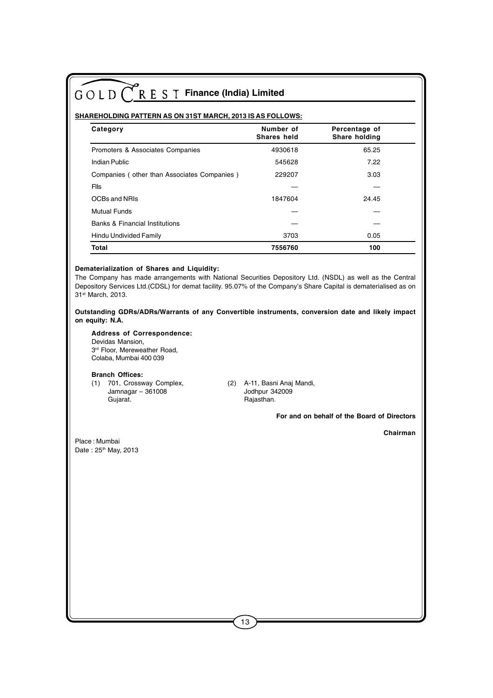#### **SHAREHOLDING PATTERN AS ON 31ST MARCH, 2013 IS AS FOLLOWS:**

| Category                                    | Number of<br>Shares held | Percentage of<br>Share holding |  |
|---------------------------------------------|--------------------------|--------------------------------|--|
| Promoters & Associates Companies            | 4930618                  | 65.25                          |  |
| Indian Public                               | 545628                   | 7.22                           |  |
| Companies (other than Associates Companies) | 229207                   | 3.03                           |  |
| Flls                                        |                          |                                |  |
| OCBs and NRIs                               | 1847604                  | 24.45                          |  |
| <b>Mutual Funds</b>                         |                          |                                |  |
| <b>Banks &amp; Financial Institutions</b>   |                          |                                |  |
| Hindu Undivided Family                      | 3703                     | 0.05                           |  |
| Total                                       | 7556760                  | 100                            |  |

#### **Dematerialization of Shares and Liquidity:**

The Company has made arrangements with National Securities Depository Ltd. (NSDL) as well as the Central Depository Services Ltd.(CDSL) for demat facility. 95.07% of the Company's Share Capital is dematerialised as on 31st March, 2013.

#### **Outstanding GDRs/ADRs/Warrants of any Convertible instruments, conversion date and likely impact on equity: N.A.**

#### **Address of Correspondence:**

Devidas Mansion, 3<sup>rd</sup> Floor, Mereweather Road, Colaba, Mumbai 400 039

#### **Branch Offices:**

- (1) 701, Crossway Complex, (2) A-11, Basni Anaj Mandi,  $Jammagar - 361008$ Gujarat. **Gujarat. Gujarat. Rajasthan.** 
	-

 **For and on behalf of the Board of Directors**

 **Chairman**

Place : Mumbai Date: 25<sup>th</sup> May, 2013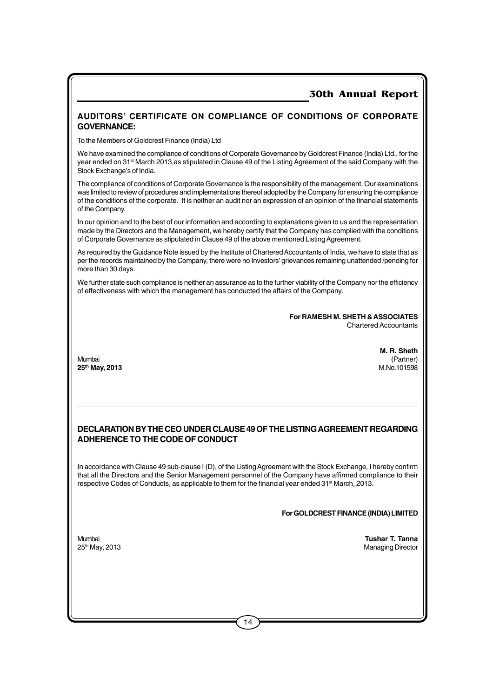#### **AUDITORS' CERTIFICATE ON COMPLIANCE OF CONDITIONS OF CORPORATE GOVERNANCE:**

To the Members of Goldcrest Finance (India) Ltd

We have examined the compliance of conditions of Corporate Governance by Goldcrest Finance (India) Ltd., for the year ended on 31st March 2013,as stipulated in Clause 49 of the Listing Agreement of the said Company with the Stock Exchange's of India.

The compliance of conditions of Corporate Governance is the responsibility of the management. Our examinations was limited to review of procedures and implementations thereof adopted by the Company for ensuring the compliance of the conditions of the corporate. It is neither an audit nor an expression of an opinion of the financial statements of the Company.

In our opinion and to the best of our information and according to explanations given to us and the representation made by the Directors and the Management, we hereby certify that the Company has complied with the conditions of Corporate Governance as stipulated in Clause 49 of the above mentioned Listing Agreement.

As required by the Guidance Note issued by the Institute of Chartered Accountants of India, we have to state that as per the records maintained by the Company, there were no Investors' grievances remaining unattended /pending for more than 30 days.

We further state such compliance is neither an assurance as to the further viability of the Company nor the efficiency of effectiveness with which the management has conducted the affairs of the Company.

> **For RAMESH M. SHETH & ASSOCIATES** Chartered Accountants

Mumbai (Partner) **25th May, 2013** M.No.101598

**M. R. Sheth**<br>(Partner)

#### **DECLARATION BY THE CEO UNDER CLAUSE 49 OF THE LISTING AGREEMENT REGARDING ADHERENCE TO THE CODE OF CONDUCT**

In accordance with Clause 49 sub-clause I (D), of the Listing Agreement with the Stock Exchange, I hereby confirm that all the Directors and the Senior Management personnel of the Company have affirmed compliance to their respective Codes of Conducts, as applicable to them for the financial year ended 31<sup>st</sup> March, 2013.

**For GOLDCREST FINANCE (INDIA) LIMITED**

Mumbai **Tushar T. Tanna Managing Director**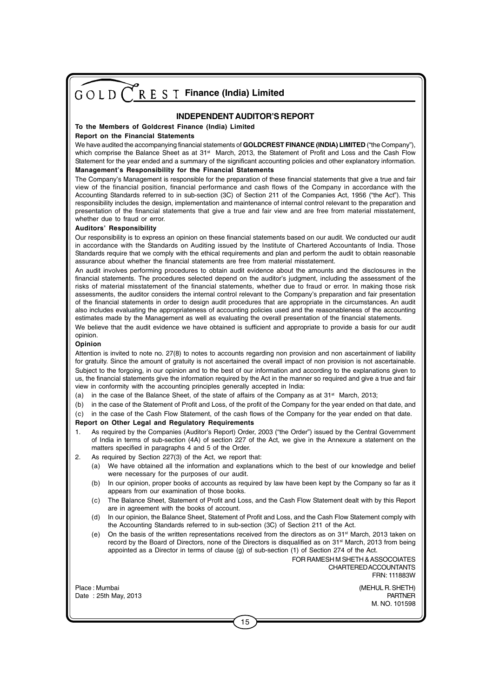#### **INDEPENDENT AUDITOR'S REPORT**

#### **To the Members of Goldcrest Finance (India) Limited**

#### **Report on the Financial Statements**

We have audited the accompanying financial statements of **GOLDCREST FINANCE (INDIA) LIMITED** ("the Company"), which comprise the Balance Sheet as at 31<sup>st</sup> March, 2013, the Statement of Profit and Loss and the Cash Flow Statement for the year ended and a summary of the significant accounting policies and other explanatory information. **Management's Responsibility for the Financial Statements**

The Company's Management is responsible for the preparation of these financial statements that give a true and fair view of the financial position, financial performance and cash flows of the Company in accordance with the Accounting Standards referred to in sub-section (3C) of Section 211 of the Companies Act, 1956 ("the Act"). This responsibility includes the design, implementation and maintenance of internal control relevant to the preparation and presentation of the financial statements that give a true and fair view and are free from material misstatement, whether due to fraud or error.

#### **Auditors' Responsibility**

Our responsibility is to express an opinion on these financial statements based on our audit. We conducted our audit in accordance with the Standards on Auditing issued by the Institute of Chartered Accountants of India. Those Standards require that we comply with the ethical requirements and plan and perform the audit to obtain reasonable assurance about whether the financial statements are free from material misstatement.

An audit involves performing procedures to obtain audit evidence about the amounts and the disclosures in the financial statements. The procedures selected depend on the auditor's judgment, including the assessment of the risks of material misstatement of the financial statements, whether due to fraud or error. In making those risk assessments, the auditor considers the internal control relevant to the Company's preparation and fair presentation of the financial statements in order to design audit procedures that are appropriate in the circumstances. An audit also includes evaluating the appropriateness of accounting policies used and the reasonableness of the accounting estimates made by the Management as well as evaluating the overall presentation of the financial statements.

We believe that the audit evidence we have obtained is sufficient and appropriate to provide a basis for our audit opinion.

#### **Opinion**

Attention is invited to note no. 27(8) to notes to accounts regarding non provision and non ascertainment of liability for gratuity. Since the amount of gratuity is not ascertained the overall impact of non provision is not ascertainable. Subject to the forgoing, in our opinion and to the best of our information and according to the explanations given to us, the financial statements give the information required by the Act in the manner so required and give a true and fair view in conformity with the accounting principles generally accepted in India:

- (a) in the case of the Balance Sheet, of the state of affairs of the Company as at 31<sup>st</sup> March, 2013;
- (b) in the case of the Statement of Profit and Loss, of the profit of the Company for the year ended on that date, and
- (c) in the case of the Cash Flow Statement, of the cash flows of the Company for the year ended on that date.

#### **Report on Other Legal and Regulatory Requirements**

- 1. As required by the Companies (Auditor's Report) Order, 2003 ("the Order") issued by the Central Government of India in terms of sub-section (4A) of section 227 of the Act, we give in the Annexure a statement on the matters specified in paragraphs 4 and 5 of the Order.
- 2. As required by Section 227(3) of the Act, we report that:
	- (a) We have obtained all the information and explanations which to the best of our knowledge and belief were necessary for the purposes of our audit.
	- (b) In our opinion, proper books of accounts as required by law have been kept by the Company so far as it appears from our examination of those books.
	- (c) The Balance Sheet, Statement of Profit and Loss, and the Cash Flow Statement dealt with by this Report are in agreement with the books of account.
	- (d) In our opinion, the Balance Sheet, Statement of Profit and Loss, and the Cash Flow Statement comply with the Accounting Standards referred to in sub-section (3C) of Section 211 of the Act.
	- (e) On the basis of the written representations received from the directors as on  $31<sup>st</sup>$  March, 2013 taken on record by the Board of Directors, none of the Directors is disqualified as on 31<sup>st</sup> March, 2013 from being appointed as a Director in terms of clause (g) of sub-section (1) of Section 274 of the Act.

FOR RAMESH M SHETH & ASSOCOIATES CHARTERED ACCOUNTANTS FRN: 111883W

Place : Mumbai (MEHUL R. SHETH) Date : 25th May, 2013 PARTNER

M. NO. 101598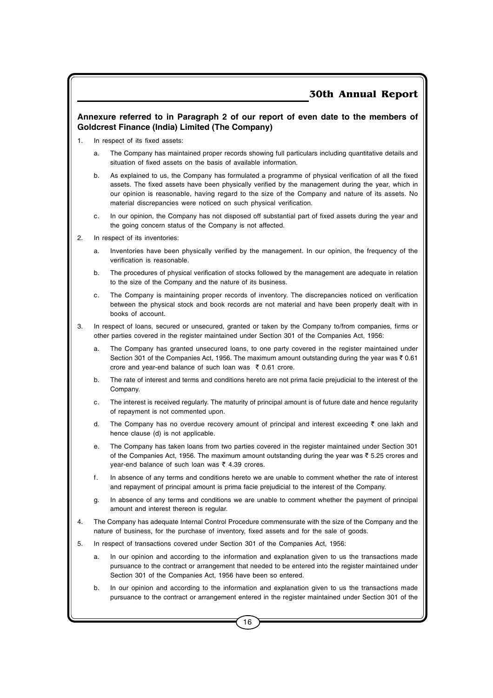#### **Annexure referred to in Paragraph 2 of our report of even date to the members of Goldcrest Finance (India) Limited (The Company)**

- 1. In respect of its fixed assets:
	- a. The Company has maintained proper records showing full particulars including quantitative details and situation of fixed assets on the basis of available information.
	- b. As explained to us, the Company has formulated a programme of physical verification of all the fixed assets. The fixed assets have been physically verified by the management during the year, which in our opinion is reasonable, having regard to the size of the Company and nature of its assets. No material discrepancies were noticed on such physical verification.
	- c. In our opinion, the Company has not disposed off substantial part of fixed assets during the year and the going concern status of the Company is not affected.
- 2. In respect of its inventories:
	- a. Inventories have been physically verified by the management. In our opinion, the frequency of the verification is reasonable.
	- b. The procedures of physical verification of stocks followed by the management are adequate in relation to the size of the Company and the nature of its business.
	- c. The Company is maintaining proper records of inventory. The discrepancies noticed on verification between the physical stock and book records are not material and have been properly dealt with in books of account.
- 3. In respect of loans, secured or unsecured, granted or taken by the Company to/from companies, firms or other parties covered in the register maintained under Section 301 of the Companies Act, 1956:
	- a. The Company has granted unsecured loans, to one party covered in the register maintained under Section 301 of the Companies Act, 1956. The maximum amount outstanding during the year was  $\bar{\tau}$  0.61 crore and year-end balance of such loan was  $\bar{\tau}$  0.61 crore.
	- b. The rate of interest and terms and conditions hereto are not prima facie prejudicial to the interest of the Company.
	- c. The interest is received regularly. The maturity of principal amount is of future date and hence regularity of repayment is not commented upon.
	- d. The Company has no overdue recovery amount of principal and interest exceeding  $\bar{\tau}$  one lakh and hence clause (d) is not applicable.
	- e. The Company has taken loans from two parties covered in the register maintained under Section 301 of the Companies Act, 1956. The maximum amount outstanding during the year was  $\bar{z}$  5.25 crores and year-end balance of such loan was  $\bar{\tau}$  4.39 crores.
	- f. In absence of any terms and conditions hereto we are unable to comment whether the rate of interest and repayment of principal amount is prima facie prejudicial to the interest of the Company.
	- g. In absence of any terms and conditions we are unable to comment whether the payment of principal amount and interest thereon is regular.
- 4. The Company has adequate Internal Control Procedure commensurate with the size of the Company and the nature of business, for the purchase of inventory, fixed assets and for the sale of goods.
- 5. In respect of transactions covered under Section 301 of the Companies Act, 1956:
	- a. In our opinion and according to the information and explanation given to us the transactions made pursuance to the contract or arrangement that needed to be entered into the register maintained under Section 301 of the Companies Act, 1956 have been so entered.
	- b. In our opinion and according to the information and explanation given to us the transactions made pursuance to the contract or arrangement entered in the register maintained under Section 301 of the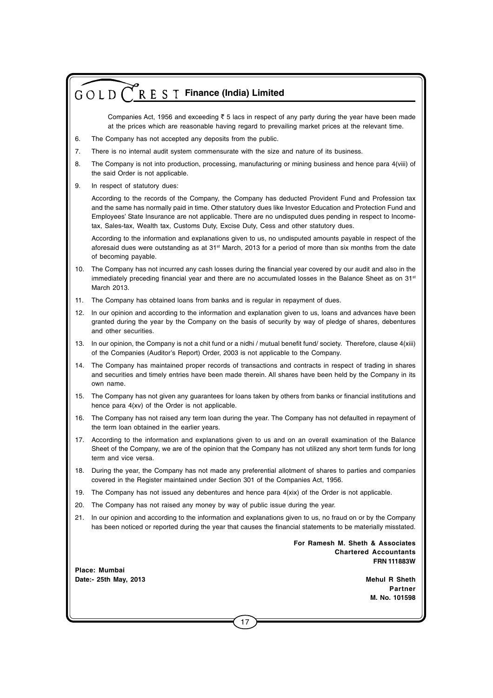Companies Act, 1956 and exceeding  $\bar{\tau}$  5 lacs in respect of any party during the year have been made at the prices which are reasonable having regard to prevailing market prices at the relevant time.

- 6. The Company has not accepted any deposits from the public.
- 7. There is no internal audit system commensurate with the size and nature of its business.
- 8. The Company is not into production, processing, manufacturing or mining business and hence para 4(viii) of the said Order is not applicable.
- 9. In respect of statutory dues:

According to the records of the Company, the Company has deducted Provident Fund and Profession tax and the same has normally paid in time. Other statutory dues like Investor Education and Protection Fund and Employees' State Insurance are not applicable. There are no undisputed dues pending in respect to Incometax, Sales-tax, Wealth tax, Customs Duty, Excise Duty, Cess and other statutory dues.

According to the information and explanations given to us, no undisputed amounts payable in respect of the aforesaid dues were outstanding as at 31<sup>st</sup> March, 2013 for a period of more than six months from the date of becoming payable.

- 10. The Company has not incurred any cash losses during the financial year covered by our audit and also in the immediately preceding financial year and there are no accumulated losses in the Balance Sheet as on 31<sup>st</sup> March 2013.
- 11. The Company has obtained loans from banks and is regular in repayment of dues.
- 12. In our opinion and according to the information and explanation given to us, loans and advances have been granted during the year by the Company on the basis of security by way of pledge of shares, debentures and other securities.
- 13. In our opinion, the Company is not a chit fund or a nidhi / mutual benefit fund/ society. Therefore, clause 4(xiii) of the Companies (Auditor's Report) Order, 2003 is not applicable to the Company.
- 14. The Company has maintained proper records of transactions and contracts in respect of trading in shares and securities and timely entries have been made therein. All shares have been held by the Company in its own name.
- 15. The Company has not given any guarantees for loans taken by others from banks or financial institutions and hence para 4(xv) of the Order is not applicable.
- 16. The Company has not raised any term loan during the year. The Company has not defaulted in repayment of the term loan obtained in the earlier years.
- 17. According to the information and explanations given to us and on an overall examination of the Balance Sheet of the Company, we are of the opinion that the Company has not utilized any short term funds for long term and vice versa.
- 18. During the year, the Company has not made any preferential allotment of shares to parties and companies covered in the Register maintained under Section 301 of the Companies Act, 1956.
- 19. The Company has not issued any debentures and hence para 4(xix) of the Order is not applicable.
- 20. The Company has not raised any money by way of public issue during the year.
- 21. In our opinion and according to the information and explanations given to us, no fraud on or by the Company has been noticed or reported during the year that causes the financial statements to be materially misstated.

**For Ramesh M. Sheth & Associates Chartered Accountants FRN 111883W**

**Place: Mumbai Date:- 25th May, 2013 Mehul R Sheth**

**Partner M. No. 101598**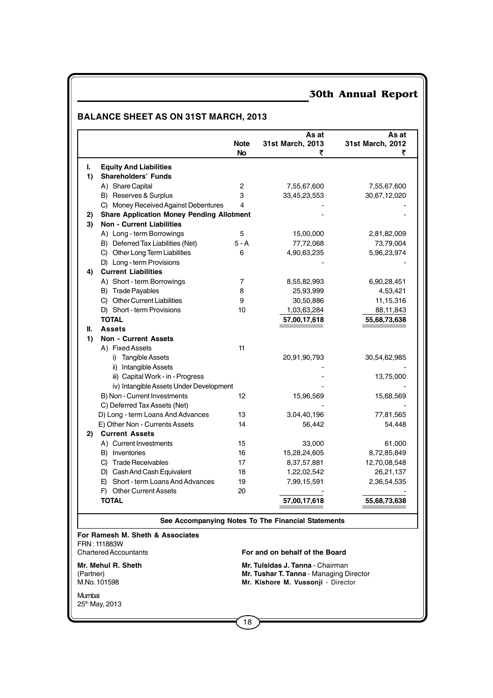## **BALANCE SHEET AS ON 31ST MARCH, 2013**

|           |                                                  | <b>Note</b><br><b>No</b> | As at<br>31st March, 2013<br>₹                     | As at<br>31st March, 2012 |
|-----------|--------------------------------------------------|--------------------------|----------------------------------------------------|---------------------------|
| L         | <b>Equity And Liabilities</b>                    |                          |                                                    |                           |
| 1)        | <b>Shareholders' Funds</b>                       |                          |                                                    |                           |
|           | A) Share Capital                                 | $\overline{c}$           | 7,55,67,600                                        | 7,55,67,600               |
|           | B) Reserves & Surplus                            | 3                        | 33,45,23,553                                       | 30,67,12,020              |
|           | C) Money Received Against Debentures             | 4                        |                                                    |                           |
| 2)        | <b>Share Application Money Pending Allotment</b> |                          |                                                    |                           |
| 3)        | <b>Non - Current Liabilities</b>                 |                          |                                                    |                           |
|           | A) Long - term Borrowings                        | 5                        | 15,00,000                                          | 2,81,82,009               |
|           | B) Deferred Tax Liabilities (Net)                | $5 - A$                  | 77,72,068                                          | 73,79,004                 |
|           | C) Other Long Term Liabilities                   | 6                        | 4,90,63,235                                        | 5,96,23,974               |
|           | D) Long - term Provisions                        |                          |                                                    |                           |
| 4)        | <b>Current Liabilities</b>                       |                          |                                                    |                           |
|           | A) Short - term Borrowings                       | 7                        | 8,55,82,993                                        | 6,90,28,451               |
|           | B) Trade Payables                                | 8                        | 25,93,999                                          | 4,53,421                  |
|           | C) Other Current Liabilities                     | 9                        | 30,50,886                                          | 11,15,316                 |
|           | D) Short - term Provisions                       | 10                       | 1,03,63,284                                        | 88,11,843                 |
|           | <b>TOTAL</b>                                     |                          | 57,00,17,618                                       | 55,68,73,638              |
| Ш.        | <b>Assets</b>                                    |                          |                                                    |                           |
| 1)        | <b>Non - Current Assets</b>                      |                          |                                                    |                           |
|           | A) Fixed Assets                                  | 11                       |                                                    |                           |
|           | <b>Tangible Assets</b><br>i)                     |                          | 20,91,90,793                                       | 30,54,62,985              |
|           | ii) Intangible Assets                            |                          |                                                    |                           |
|           | iii) Capital Work - in - Progress                |                          |                                                    | 13,75,000                 |
|           | iv) Intangible Assets Under Development          |                          |                                                    |                           |
|           | B) Non - Current Investments                     | 12                       | 15,96,569                                          | 15,68,569                 |
|           | C) Deferred Tax Assets (Net)                     |                          |                                                    |                           |
|           | D) Long - term Loans And Advances                | 13                       | 3,04,40,196                                        | 77,81,565                 |
|           | E) Other Non - Currents Assets                   | 14                       | 56,442                                             | 54,448                    |
| 2)        | <b>Current Assets</b>                            |                          |                                                    |                           |
|           | A) Current Investments                           | 15                       | 33,000                                             | 61,000                    |
|           | B) Inventories                                   | 16                       | 15,28,24,605                                       | 8,72,85,849               |
|           | <b>Trade Receivables</b>                         |                          | 8,37,57,881                                        |                           |
|           | C)<br>D) Cash And Cash Equivalent                | 17<br>18                 | 1,22,02,542                                        | 12,70,08,548<br>26,21,137 |
|           | Short - term Loans And Advances                  | 19                       |                                                    |                           |
|           | E)<br>F) Other Current Assets                    | 20                       | 7,99,15,591                                        | 2,36,54,535               |
|           | TOTAL                                            |                          | 57,00,17,618                                       | 55,68,73,638              |
|           |                                                  |                          |                                                    |                           |
|           |                                                  |                          | See Accompanying Notes To The Financial Statements |                           |
|           | For Ramesh M. Sheth & Associates                 |                          |                                                    |                           |
|           | FRN: 111883W<br><b>Chartered Accountants</b>     |                          | For and on behalf of the Board                     |                           |
|           |                                                  |                          |                                                    |                           |
|           | Mr. Mehul R. Sheth                               |                          | <b>Mr. Tulsidas J. Tanna - Chairman</b>            |                           |
| (Partner) | M.No. 101598                                     |                          | Mr. Tushar T. Tanna - Managing Director            |                           |
|           |                                                  |                          | Mr. Kishore M. Vussonji - Director                 |                           |
| Mumbai    | 25th May, 2013                                   |                          |                                                    |                           |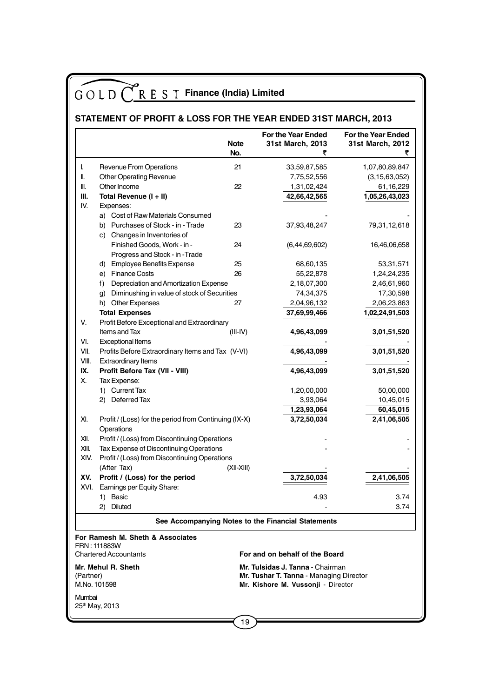## **STATEMENT OF PROFIT & LOSS FOR THE YEAR ENDED 31ST MARCH, 2013**

|                                                                                                            |                                                                     | <b>Note</b><br>No. | For the Year Ended<br>31st March, 2013<br>₹        | For the Year Ended<br>31st March, 2012<br>₹ |
|------------------------------------------------------------------------------------------------------------|---------------------------------------------------------------------|--------------------|----------------------------------------------------|---------------------------------------------|
| I.                                                                                                         | Revenue From Operations                                             | 21                 | 33,59,87,585                                       | 1,07,80,89,847                              |
| II.                                                                                                        | Other Operating Revenue                                             |                    | 7,75,52,556                                        | (3, 15, 63, 052)                            |
| III.                                                                                                       | Other Income                                                        | 22                 | 1,31,02,424                                        | 61,16,229                                   |
| Ш.                                                                                                         | Total Revenue (I + II)                                              |                    | 42,66,42,565                                       | 1,05,26,43,023                              |
| IV.                                                                                                        | Expenses:                                                           |                    |                                                    |                                             |
|                                                                                                            | a) Cost of Raw Materials Consumed                                   |                    |                                                    |                                             |
|                                                                                                            | b) Purchases of Stock - in - Trade                                  | 23                 | 37,93,48,247                                       | 79,31,12,618                                |
|                                                                                                            | c) Changes in Inventories of                                        |                    |                                                    |                                             |
|                                                                                                            | Finished Goods, Work - in -                                         | 24                 | (6,44,69,602)                                      | 16,46,06,658                                |
|                                                                                                            | Progress and Stock - in -Trade                                      |                    |                                                    |                                             |
|                                                                                                            | d) Employee Benefits Expense                                        | 25                 | 68,60,135                                          | 53,31,571                                   |
|                                                                                                            | e) Finance Costs                                                    | 26                 | 55,22,878                                          | 1,24,24,235                                 |
|                                                                                                            | Depreciation and Amortization Expense<br>f)                         |                    | 2,18,07,300                                        | 2,46,61,960                                 |
|                                                                                                            | g) Diminushing in value of stock of Securities                      |                    | 74,34,375                                          | 17,30,598                                   |
|                                                                                                            | h) Other Expenses                                                   | 27                 | 2,04,96,132                                        | 2,06,23,863                                 |
|                                                                                                            | <b>Total Expenses</b>                                               |                    | 37,69,99,466                                       | 1,02,24,91,503                              |
| V.                                                                                                         | Profit Before Exceptional and Extraordinary                         |                    |                                                    |                                             |
|                                                                                                            | Items and Tax                                                       | $(III-IV)$         | 4,96,43,099                                        | 3,01,51,520                                 |
| VI.                                                                                                        | <b>Exceptional Items</b>                                            |                    |                                                    |                                             |
| VII.                                                                                                       | Profits Before Extraordinary Items and Tax (V-VI)                   |                    | 4,96,43,099                                        | 3,01,51,520                                 |
| VIII.                                                                                                      | <b>Extraordinary Items</b>                                          |                    |                                                    |                                             |
| IX.                                                                                                        | Profit Before Tax (VII - VIII)                                      |                    | 4,96,43,099                                        | 3,01,51,520                                 |
| Χ.                                                                                                         | Tax Expense:                                                        |                    |                                                    |                                             |
|                                                                                                            | 1) Current Tax                                                      |                    | 1,20,00,000                                        | 50,00,000                                   |
|                                                                                                            | 2) Deferred Tax                                                     |                    | 3,93,064                                           | 10,45,015                                   |
|                                                                                                            |                                                                     |                    | 1,23,93,064                                        | 60,45,015                                   |
| XI.                                                                                                        | Profit / (Loss) for the period from Continuing (IX-X)<br>Operations |                    | 3,72,50,034                                        | 2,41,06,505                                 |
| XII.                                                                                                       | Profit / (Loss) from Discontinuing Operations                       |                    |                                                    |                                             |
| XIII.                                                                                                      | Tax Expense of Discontinuing Operations                             |                    |                                                    |                                             |
| XIV.                                                                                                       | Profit / (Loss) from Discontinuing Operations                       |                    |                                                    |                                             |
|                                                                                                            | (After Tax)                                                         | (XII-XIII)         |                                                    |                                             |
| XV.                                                                                                        | Profit / (Loss) for the period                                      |                    | 3,72,50,034                                        | 2,41,06,505                                 |
| XVI.                                                                                                       | Earnings per Equity Share:                                          |                    |                                                    |                                             |
|                                                                                                            | 1) Basic                                                            |                    | 4.93                                               | 3.74                                        |
|                                                                                                            | 2) Diluted                                                          |                    |                                                    | 3.74                                        |
|                                                                                                            |                                                                     |                    | See Accompanying Notes to the Financial Statements |                                             |
|                                                                                                            | For Ramesh M. Sheth & Associates<br>FRN: 111883W                    |                    |                                                    |                                             |
|                                                                                                            | <b>Chartered Accountants</b>                                        |                    | For and on behalf of the Board                     |                                             |
|                                                                                                            | Mr. Mehul R. Sheth                                                  |                    | Mr. Tulsidas J. Tanna - Chairman                   |                                             |
| Mr. Tushar T. Tanna - Managing Director<br>(Partner)<br>M.No. 101598<br>Mr. Kishore M. Vussonji - Director |                                                                     |                    |                                                    |                                             |
| Mumbai                                                                                                     | 25th May, 2013                                                      |                    |                                                    |                                             |
|                                                                                                            |                                                                     | 19                 |                                                    |                                             |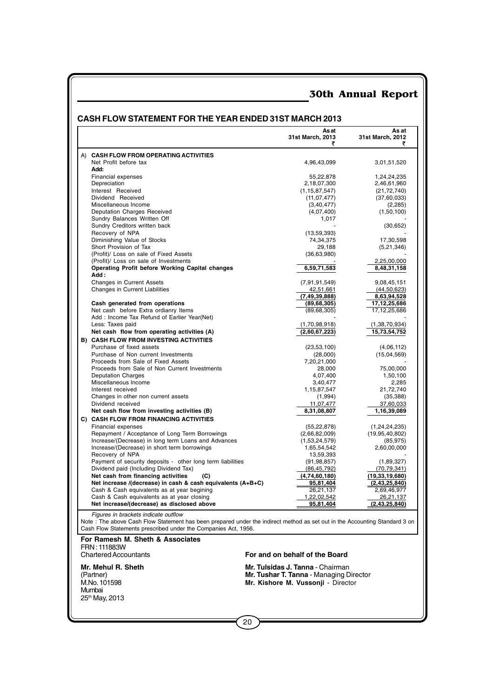|                                                                                                                                                                                                                                                                                                                        | Asat<br>31st March, 2013<br>₹           | As at<br>31st March, 2012<br>₹ |
|------------------------------------------------------------------------------------------------------------------------------------------------------------------------------------------------------------------------------------------------------------------------------------------------------------------------|-----------------------------------------|--------------------------------|
| A) CASH FLOW FROM OPERATING ACTIVITIES                                                                                                                                                                                                                                                                                 |                                         |                                |
| Net Profit before tax                                                                                                                                                                                                                                                                                                  | 4,96,43,099                             | 3,01,51,520                    |
| Add:                                                                                                                                                                                                                                                                                                                   |                                         |                                |
| Financial expenses                                                                                                                                                                                                                                                                                                     | 55,22,878                               | 1,24,24,235                    |
| Depreciation                                                                                                                                                                                                                                                                                                           | 2,18,07,300                             | 2,46,61,960                    |
| Interest Received                                                                                                                                                                                                                                                                                                      | (1, 15, 87, 547)                        | (21, 72, 740)                  |
| Dividend Received                                                                                                                                                                                                                                                                                                      | (11, 07, 477)                           | (37,60,033)                    |
| Miscellaneous Income<br>Deputation Charges Received                                                                                                                                                                                                                                                                    | (3, 40, 477)<br>(4,07,400)              | (2, 285)<br>(1,50,100)         |
| Sundry Balances Written Off                                                                                                                                                                                                                                                                                            | 1,017                                   |                                |
| Sundry Creditors written back                                                                                                                                                                                                                                                                                          |                                         | (30, 652)                      |
| Recovery of NPA                                                                                                                                                                                                                                                                                                        | (13, 59, 393)                           |                                |
| Diminishing Value of Stocks                                                                                                                                                                                                                                                                                            | 74,34,375                               | 17,30,598                      |
| Short Provision of Tax                                                                                                                                                                                                                                                                                                 | 29,188                                  | (5,21,346)                     |
| (Profit)/ Loss on sale of Fixed Assets                                                                                                                                                                                                                                                                                 | (36, 63, 980)                           |                                |
| (Profit)/ Loss on sale of Investments                                                                                                                                                                                                                                                                                  |                                         | 2,25,00,000                    |
| Operating Profit before Working Capital changes<br>Add:                                                                                                                                                                                                                                                                | 6,59,71,583                             | 8,48,31,158                    |
| <b>Changes in Current Assets</b>                                                                                                                                                                                                                                                                                       | (7, 91, 91, 549)                        | 9,08,45,151                    |
| Changes in Current Liabilities                                                                                                                                                                                                                                                                                         | 42,51,661                               | (44, 50, 623)                  |
|                                                                                                                                                                                                                                                                                                                        | (7, 49, 39, 888)                        | 8,63,94,528                    |
| Cash generated from operations                                                                                                                                                                                                                                                                                         | (89, 68, 305)                           | 17, 12, 25, 686                |
| Net cash before Extra ordianry Items                                                                                                                                                                                                                                                                                   | (89, 68, 305)                           | 17, 12, 25, 686                |
| Add: Income Tax Refund of Earlier Year(Net)                                                                                                                                                                                                                                                                            |                                         |                                |
| Less: Taxes paid                                                                                                                                                                                                                                                                                                       | (1,70,98,918)                           | (1,38,70,934)                  |
| Net cash flow from operating activities (A)                                                                                                                                                                                                                                                                            | (2,60,67,223)                           | 15,73,54,752                   |
| <b>B) CASH FLOW FROM INVESTING ACTIVITIES</b>                                                                                                                                                                                                                                                                          |                                         |                                |
| Purchase of fixed assets<br>Purchase of Non current Investments                                                                                                                                                                                                                                                        | (23, 53, 100)                           | (4,06,112)                     |
| Proceeds from Sale of Fixed Assets                                                                                                                                                                                                                                                                                     | (28,000)<br>7,20,21,000                 | (15,04,569)                    |
| Proceeds from Sale of Non Current Investments                                                                                                                                                                                                                                                                          | 28,000                                  | 75,00,000                      |
| <b>Deputation Charges</b>                                                                                                                                                                                                                                                                                              | 4,07,400                                | 1,50,100                       |
| Miscellaneous Income                                                                                                                                                                                                                                                                                                   | 3,40,477                                | 2,285                          |
| Interest received                                                                                                                                                                                                                                                                                                      | 1,15,87,547                             | 21,72,740                      |
| Changes in other non current assets                                                                                                                                                                                                                                                                                    | (1,994)                                 | (35, 388)                      |
| Dividend received                                                                                                                                                                                                                                                                                                      | 11,07,477                               | 37,60,033                      |
| Net cash flow from investing activities (B)                                                                                                                                                                                                                                                                            | 8,31,08,807                             | 1,16,39,089                    |
| C) CASH FLOW FROM FINANCING ACTIVITIES                                                                                                                                                                                                                                                                                 |                                         |                                |
| Financial expenses                                                                                                                                                                                                                                                                                                     | (55, 22, 878)                           | (1, 24, 24, 235)               |
| Repayment / Acceptance of Long Term Borrowings<br>Increase/(Decrease) in long term Loans and Advances                                                                                                                                                                                                                  | (2,66,82,009)<br>(1,53,24,579)          | (19,95,40,802)<br>(85, 975)    |
| Increase/(Decrease) in short term borrowings                                                                                                                                                                                                                                                                           | 1,65,54,542                             | 2,60,00,000                    |
| Recovery of NPA                                                                                                                                                                                                                                                                                                        | 13,59,393                               |                                |
| Payment of security deposits - other long term liabilities                                                                                                                                                                                                                                                             | (91, 98, 857)                           | (1,89,327)                     |
| Dividend paid (Including Dividend Tax)                                                                                                                                                                                                                                                                                 | (86, 45, 792)                           | (70, 79, 341)                  |
| Net cash from financing activities<br>(C)                                                                                                                                                                                                                                                                              | (4,74,60,180)                           | (19, 33, 19, 680)              |
| Net increase /(decrease) in cash & cash equivalents $(A+B+C)$                                                                                                                                                                                                                                                          | <u>95,81,404</u>                        | (2, 43, 25, 840)               |
| Cash & Cash equivalents as at year begining                                                                                                                                                                                                                                                                            | 26,21,137                               | 2,69,46,977                    |
| Cash & Cash equivalents as at year closing                                                                                                                                                                                                                                                                             | 1,22,02,542                             | 26,21,137                      |
| Net increase/(decrease) as disclosed above<br>Figures in brackets indicate outflow<br>Note: The above Cash Flow Statement has been prepared under the indirect method as set out in the Accounting Standard 3 on<br>Cash Flow Statements prescribed under the Companies Act, 1956.<br>For Ramesh M. Sheth & Associates | <u>95,81,404</u>                        | (2,43,25,840)                  |
| FRN: 111883W<br><b>Chartered Accountants</b>                                                                                                                                                                                                                                                                           | For and on behalf of the Board          |                                |
| Mr. Mehul R. Sheth                                                                                                                                                                                                                                                                                                     | Mr. Tulsidas J. Tanna - Chairman        |                                |
| (Partner)                                                                                                                                                                                                                                                                                                              | Mr. Tushar T. Tanna - Managing Director |                                |
| M.No. 101598                                                                                                                                                                                                                                                                                                           | Mr. Kishore M. Vussonji - Director      |                                |
| Mumbai                                                                                                                                                                                                                                                                                                                 |                                         |                                |
| 25th May, 2013                                                                                                                                                                                                                                                                                                         |                                         |                                |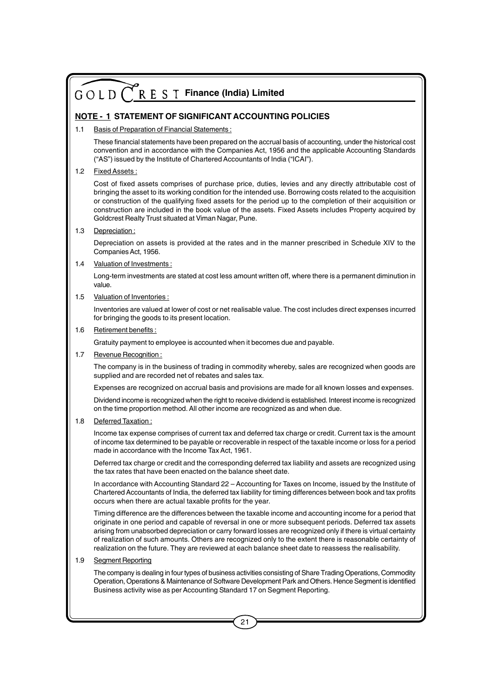#### **NOTE - 1 STATEMENT OF SIGNIFICANT ACCOUNTING POLICIES**

#### 1.1 Basis of Preparation of Financial Statements :

These financial statements have been prepared on the accrual basis of accounting, under the historical cost convention and in accordance with the Companies Act, 1956 and the applicable Accounting Standards ("AS") issued by the Institute of Chartered Accountants of India ("ICAI").

#### 1.2 Fixed Assets :

Cost of fixed assets comprises of purchase price, duties, levies and any directly attributable cost of bringing the asset to its working condition for the intended use. Borrowing costs related to the acquisition or construction of the qualifying fixed assets for the period up to the completion of their acquisition or construction are included in the book value of the assets. Fixed Assets includes Property acquired by Goldcrest Realty Trust situated at Viman Nagar, Pune.

#### 1.3 Depreciation :

Depreciation on assets is provided at the rates and in the manner prescribed in Schedule XIV to the Companies Act, 1956.

#### 1.4 Valuation of Investments :

Long-term investments are stated at cost less amount written off, where there is a permanent diminution in value.

#### 1.5 Valuation of Inventories :

Inventories are valued at lower of cost or net realisable value. The cost includes direct expenses incurred for bringing the goods to its present location.

#### 1.6 Retirement benefits :

Gratuity payment to employee is accounted when it becomes due and payable.

1.7 Revenue Recognition:

The company is in the business of trading in commodity whereby, sales are recognized when goods are supplied and are recorded net of rebates and sales tax.

Expenses are recognized on accrual basis and provisions are made for all known losses and expenses.

Dividend income is recognized when the right to receive dividend is established. Interest income is recognized on the time proportion method. All other income are recognized as and when due.

#### 1.8 Deferred Taxation :

Income tax expense comprises of current tax and deferred tax charge or credit. Current tax is the amount of income tax determined to be payable or recoverable in respect of the taxable income or loss for a period made in accordance with the Income Tax Act, 1961.

Deferred tax charge or credit and the corresponding deferred tax liability and assets are recognized using the tax rates that have been enacted on the balance sheet date.

In accordance with Accounting Standard 22 – Accounting for Taxes on Income, issued by the Institute of Chartered Accountants of India, the deferred tax liability for timing differences between book and tax profits occurs when there are actual taxable profits for the year.

Timing difference are the differences between the taxable income and accounting income for a period that originate in one period and capable of reversal in one or more subsequent periods. Deferred tax assets arising from unabsorbed depreciation or carry forward losses are recognized only if there is virtual certainty of realization of such amounts. Others are recognized only to the extent there is reasonable certainty of realization on the future. They are reviewed at each balance sheet date to reassess the realisability.

#### 1.9 Segment Reporting

The company is dealing in four types of business activities consisting of Share Trading Operations, Commodity Operation, Operations & Maintenance of Software Development Park and Others. Hence Segment is identified Business activity wise as per Accounting Standard 17 on Segment Reporting.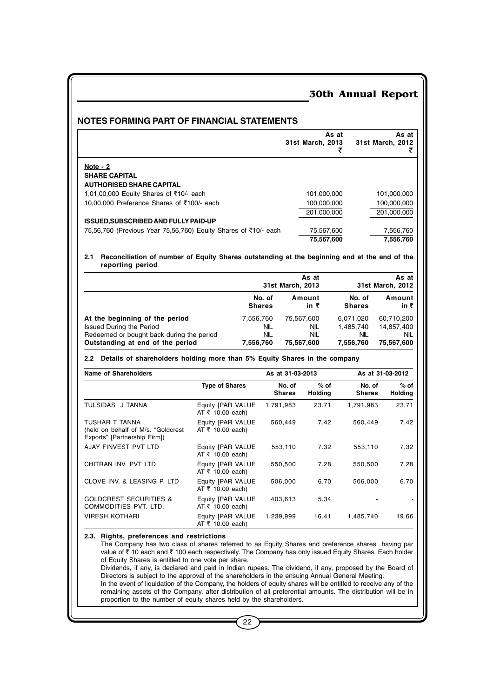#### **NOTES FORMING PART OF FINANCIAL STATEMENTS**

|                                                                      | As at<br>31st March, 2013 | As at<br>31st March, 2012 |
|----------------------------------------------------------------------|---------------------------|---------------------------|
| Note $-2$<br><b>SHARE CAPITAL</b><br><b>AUTHORISED SHARE CAPITAL</b> |                           |                           |
| 1,01,00,000 Equity Shares of ₹10/- each                              | 101,000,000               | 101,000,000               |
| 10,00,000 Preference Shares of ₹100/- each                           | 100,000,000               | 100,000,000               |
|                                                                      | 201.000.000               | 201,000,000               |
| <b>ISSUED, SUBSCRIBED AND FULLY PAID-UP</b>                          |                           |                           |
| 75,56,760 (Previous Year 75,56,760) Equity Shares of ₹10/ each       | 75,567,600                | 7,556,760                 |
|                                                                      | 75.567.600                | 7.556.760                 |

#### **2.1 Reconciliation of number of Equity Shares outstanding at the beginning and at the end of the reporting period**

|                                           |               | As at<br>31st March, 2013 |               | As at<br>31st March, 2012 |  |
|-------------------------------------------|---------------|---------------------------|---------------|---------------------------|--|
|                                           | No. of        | Amount                    | No. of        | Amount                    |  |
|                                           | <b>Shares</b> | in ₹                      | <b>Shares</b> | in ₹                      |  |
| At the beginning of the period            | 7,556,760     | 75,567,600                | 6,071,020     | 60,710,200                |  |
| <b>Issued During the Period</b>           | NIL           | <b>NIL</b>                | 1,485,740     | 14.857.400                |  |
| Redeemed or bought back during the period | NIL           | <b>NIL</b>                | <b>NIL</b>    | <b>NIL</b>                |  |
| Outstanding at end of the period          | 7,556,760     | 75,567,600                | 7,556,760     | 75,567,600                |  |

#### **2.2 Details of shareholders holding more than 5% Equity Shares in the company**

| Name of Shareholders                                                                 |                                                  | As at 31-03-2013        |                          | As at 31-03-2012        |                          |  |
|--------------------------------------------------------------------------------------|--------------------------------------------------|-------------------------|--------------------------|-------------------------|--------------------------|--|
|                                                                                      | <b>Type of Shares</b>                            | No. of<br><b>Shares</b> | $%$ of<br><b>Holding</b> | No. of<br><b>Shares</b> | $%$ of<br><b>Holding</b> |  |
| TULSIDAS J TANNA                                                                     | Equity [PAR VALUE<br>AT $\bar{\tau}$ 10.00 each) | 1,791,983               | 23.71                    | 1,791,983               | 23.71                    |  |
| TUSHAR T TANNA<br>(held on behalf of M/s. "Goldcrest<br>Exports" [Partnership Firm]) | Equity [PAR VALUE<br>AT $\bar{\tau}$ 10.00 each) | 560,449                 | 7.42                     | 560,449                 | 7.42                     |  |
| AJAY FINVEST PVT LTD                                                                 | Equity [PAR VALUE<br>AT $\bar{\tau}$ 10.00 each) | 553.110                 | 7.32                     | 553,110                 | 7.32                     |  |
| CHITRAN INV. PVT LTD                                                                 | Equity [PAR VALUE<br>AT $\bar{\tau}$ 10.00 each) | 550.500                 | 7.28                     | 550.500                 | 7.28                     |  |
| CLOVE INV. & LEASING P. LTD                                                          | Equity [PAR VALUE<br>AT $\bar{\tau}$ 10.00 each) | 506,000                 | 6.70                     | 506,000                 | 6.70                     |  |
| <b>GOLDCREST SECURITIES &amp;</b><br>COMMODITIES PVT. LTD.                           | Equity [PAR VALUE<br>AT $\bar{\tau}$ 10.00 each) | 403.613                 | 5.34                     |                         |                          |  |
| <b>VIRESH KOTHARI</b>                                                                | Equity [PAR VALUE<br>AT $\bar{\tau}$ 10.00 each) | 1,239,999               | 16.41                    | 1,485,740               | 19.66                    |  |

#### **2.3. Rights, preferences and restrictions**

The Company has two class of shares referred to as Equity Shares and preference shares having par value of  $\bar{\tau}$  10 each and  $\bar{\tau}$  100 each respectively. The Company has only issued Equity Shares. Each holder of Equity Shares is entitled to one vote per share. Dividends, if any, is declared and paid in Indian rupees. The dividend, if any, proposed by the Board of

Directors is subject to the approval of the shareholders in the ensuing Annual General Meeting. In the event of liquidation of the Company, the holders of equity shares will be entitled to receive any of the remaining assets of the Company, after distribution of all preferential amounts. The distribution will be in proportion to the number of equity shares held by the shareholders.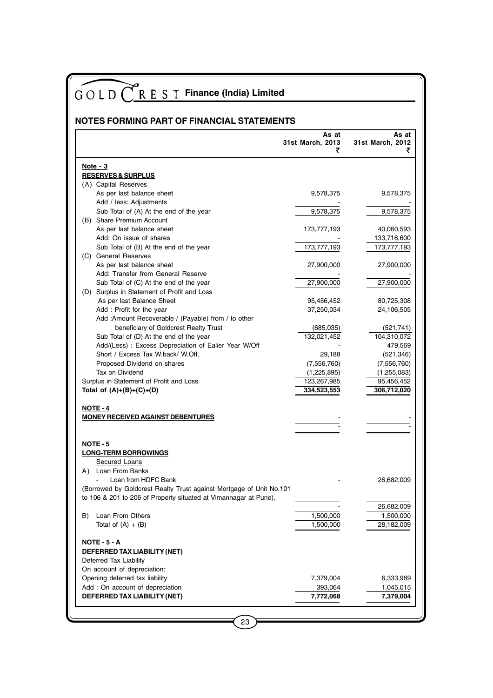| GOLD C R E S T Finance (India) Limited                                           |                  |                        |
|----------------------------------------------------------------------------------|------------------|------------------------|
|                                                                                  |                  |                        |
| <b>NOTES FORMING PART OF FINANCIAL STATEMENTS</b>                                | As at            | As at                  |
|                                                                                  | 31st March, 2013 | 31st March, 2012       |
|                                                                                  | ₹                | ₹                      |
| Note $-3$                                                                        |                  |                        |
| <b>RESERVES &amp; SURPLUS</b><br>(A) Capital Reserves                            |                  |                        |
| As per last balance sheet                                                        | 9,578,375        | 9,578,375              |
| Add / less: Adjustments                                                          |                  |                        |
| Sub Total of (A) At the end of the year                                          | 9,578,375        | 9,578,375              |
| (B) Share Premium Account                                                        |                  |                        |
| As per last balance sheet                                                        | 173,777,193      | 40,060,593             |
| Add: On issue of shares                                                          |                  | 133,716,600            |
| Sub Total of (B) At the end of the year<br>(C) General Reserves                  | 173,777,193      | 173,777,193            |
| As per last balance sheet                                                        | 27,900,000       | 27,900,000             |
| Add: Transfer from General Reserve                                               |                  |                        |
| Sub Total of (C) At the end of the year                                          | 27,900,000       | 27,900,000             |
| (D) Surplus in Statement of Profit and Loss                                      |                  |                        |
| As per last Balance Sheet                                                        | 95,456,452       | 80,725,308             |
| Add: Profit for the year                                                         | 37,250,034       | 24,106,505             |
| Add :Amount Recoverable / (Payable) from / to other                              |                  |                        |
| beneficiary of Goldcrest Realty Trust<br>Sub Total of (D) At the end of the year | (685,035)        | (521, 741)             |
| Add/(Less) : Excess Depreciation of Ealier Year W/Off                            | 132,021,452      | 104,310,072<br>479,569 |
| Short / Excess Tax W.back/ W.Off.                                                | 29,188           | (521, 346)             |
| Proposed Dividend on shares                                                      | (7,556,760)      | (7, 556, 760)          |
| Tax on Dividend                                                                  | (1,225,895)      | (1,255,083)            |
| Surplus in Statement of Profit and Loss                                          | 123,267,985      | 95,456,452             |
| Total of $(A)+(B)+(C)+(D)$                                                       | 334,523,553      | 306,712,020            |
| <b>NOTE - 4</b>                                                                  |                  |                        |
| <b>MONEY RECEIVED AGAINST DEBENTURES</b>                                         |                  |                        |
|                                                                                  |                  |                        |
| <b>NOTE - 5</b>                                                                  |                  |                        |
| <b>LONG-TERM BORROWINGS</b>                                                      |                  |                        |
| Secured Loans                                                                    |                  |                        |
| Loan From Banks<br>A)                                                            |                  |                        |
| Loan from HDFC Bank                                                              |                  | 26,682,009             |
| (Borrowed by Goldcrest Realty Trust against Mortgage of Unit No.101              |                  |                        |
| to 106 & 201 to 206 of Property situated at Vimannagar at Pune).                 |                  | 26,682,009             |
| Loan From Others<br>B)                                                           | 1,500,000        | 1,500,000              |
| Total of $(A) + (B)$                                                             | 1,500,000        | 28,182,009             |
|                                                                                  |                  |                        |
| <b>NOTE - 5 - A</b><br>DEFERRED TAX LIABILITY (NET)                              |                  |                        |
| Deferred Tax Liability                                                           |                  |                        |
| On account of depreciation:                                                      |                  |                        |
| Opening deferred tax liability                                                   | 7,379,004        | 6,333,989              |
| Add : On account of depreciation                                                 | 393,064          | 1,045,015              |
| DEFERRED TAX LIABILITY (NET)                                                     | 7,772,068        | 7,379,004              |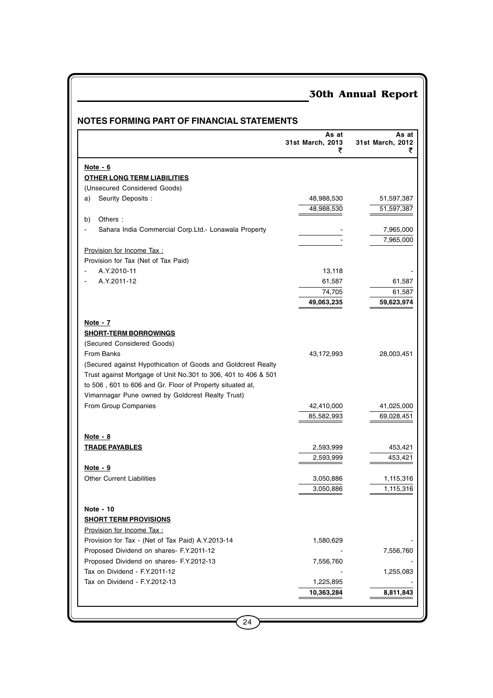|                                                                | As at<br>31st March, 2013<br>₹ | As at<br>31st March, 2012<br>₹ |
|----------------------------------------------------------------|--------------------------------|--------------------------------|
| Note $-6$                                                      |                                |                                |
| <b>OTHER LONG TERM LIABILITIES</b>                             |                                |                                |
| (Unsecured Considered Goods)                                   |                                |                                |
| Seurity Deposits :<br>a)                                       | 48,988,530                     | 51,597,387                     |
|                                                                | 48,988,530                     | 51,597,387                     |
| Others:<br>b)                                                  |                                |                                |
| Sahara India Commercial Corp.Ltd. Lonawala Property            |                                | 7,965,000                      |
|                                                                |                                | 7,965,000                      |
| Provision for Income Tax :                                     |                                |                                |
| Provision for Tax (Net of Tax Paid)                            |                                |                                |
| A.Y.2010-11                                                    | 13,118                         |                                |
| A.Y.2011-12                                                    | 61,587                         | 61,587                         |
|                                                                | 74,705                         | 61,587                         |
|                                                                | 49,063,235                     | 59,623,974                     |
| Note - 7                                                       |                                |                                |
| <b>SHORT-TERM BORROWINGS</b>                                   |                                |                                |
| (Secured Considered Goods)                                     |                                |                                |
| From Banks                                                     | 43,172,993                     | 28,003,451                     |
| (Secured against Hypothication of Goods and Goldcrest Realty   |                                |                                |
| Trust against Mortgage of Unit No.301 to 306, 401 to 406 & 501 |                                |                                |
| to 506, 601 to 606 and Gr. Floor of Property situated at,      |                                |                                |
| Vimannagar Pune owned by Goldcrest Realty Trust)               |                                |                                |
| From Group Companies                                           | 42,410,000                     | 41,025,000                     |
|                                                                | 85,582,993                     | 69,028,451                     |
|                                                                |                                |                                |
| Note - 8<br><b>TRADE PAYABLES</b>                              | 2,593,999                      | 453,421                        |
|                                                                | 2,593,999                      | 453,421                        |
| <u>Note - 9</u>                                                |                                |                                |
| <b>Other Current Liabilities</b>                               | 3,050,886                      | 1,115,316                      |
|                                                                | 3,050,886                      | 1,115,316                      |
|                                                                |                                |                                |
| Note - 10<br><b>SHORT TERM PROVISIONS</b>                      |                                |                                |
| Provision for Income Tax :                                     |                                |                                |
| Provision for Tax - (Net of Tax Paid) A.Y.2013-14              | 1,580,629                      |                                |
| Proposed Dividend on shares- F.Y.2011-12                       |                                | 7,556,760                      |
| Proposed Dividend on shares- F.Y.2012-13                       | 7,556,760                      |                                |
| Tax on Dividend - F.Y.2011-12                                  |                                | 1,255,083                      |
| Tax on Dividend - F.Y.2012-13                                  | 1,225,895                      |                                |
|                                                                | 10,363,284                     | 8,811,843                      |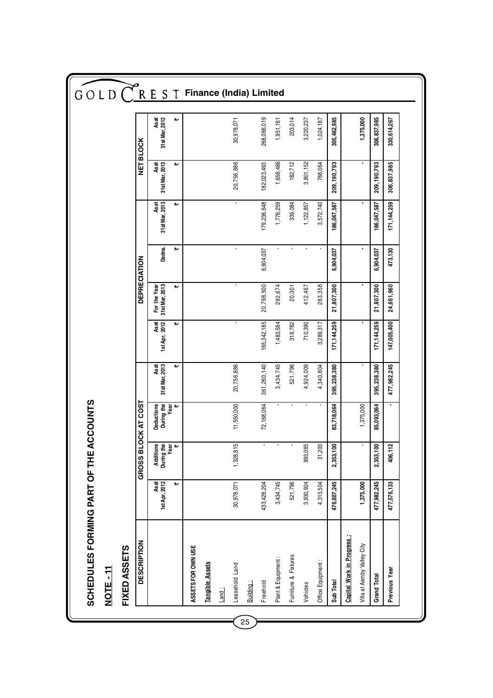| $GOLD$ $\bigcap R$ E S T<br><b>NET BLOCK</b><br><b>DEPRECIATION</b> | As at<br>31 st Mar, 2012<br>Asat<br>31st Mar, 2013<br>Asat<br>31st Mar, 2013<br>Dedns.<br>For the Year<br>31st Mar, 2013 | ⋫<br>₩<br>₩<br>₩<br>₩<br>、 | <b>Finance (India) Limited</b> |                        |       | 30,978,071<br>20,756,886<br>$\blacksquare$<br>$\blacksquare$ |           | 268,086,019<br>182,023,493<br>179,236,648<br>6,904,037<br>20,798,500 | 1,951,161<br>1,658,486<br>1,776,259<br>292,674 | 203,014<br>182,712<br>339,084<br>$\blacksquare$<br>20,301 | 3,220,237<br>3,801,152<br>1,122,857<br>412,467 | 1,024,187<br>768,064<br>3,572,740<br>283,358 | 305,462,985<br>209,190,793<br>186,047,587<br>6,904,037<br>21,807,300 |                           | 1,375,000<br>٠             | 306,837,985<br>209,190,793<br>186,047,587<br>6,904,037<br>21,807,300 | 330,614,267<br>306,837,985<br>171, 144, 259<br>473,130<br>24,661,960 |
|---------------------------------------------------------------------|--------------------------------------------------------------------------------------------------------------------------|----------------------------|--------------------------------|------------------------|-------|--------------------------------------------------------------|-----------|----------------------------------------------------------------------|------------------------------------------------|-----------------------------------------------------------|------------------------------------------------|----------------------------------------------|----------------------------------------------------------------------|---------------------------|----------------------------|----------------------------------------------------------------------|----------------------------------------------------------------------|
|                                                                     | As at<br>1st Apr, 2012<br>Asat<br>31stMar, 2013                                                                          | ₩                          |                                |                        |       | 20,756,886                                                   |           | 165,342,185<br>361,260,140                                           | 1,483,584<br>3,434,745                         | 318,782<br>521,796                                        | 710,390<br>4,924,009                           | 3,289,317<br>4,340,804                       | 171, 144, 259<br>395,238,380                                         |                           |                            | 171, 144, 259<br>395,238,380                                         | 147,005,400<br>477,982,245                                           |
| <b>OCK AT COST</b>                                                  | Deductions<br>During the<br>Year                                                                                         | ₩                          |                                |                        |       | 11,550,000                                                   |           | 72,168,064                                                           |                                                |                                                           |                                                |                                              | 83,718,064                                                           |                           | 1,375,000                  | 85,093,064                                                           |                                                                      |
| GROSS BI                                                            | Additions<br>During the                                                                                                  | Year<br>₹                  |                                |                        |       | 5<br>1,328,81                                                |           | $\blacksquare$                                                       | ٠                                              | $\blacksquare$                                            | ю<br>993,08                                    | 31,200                                       | 2,353,100                                                            |                           | $\blacksquare$             | 2,353,100                                                            | $\mathbf{\tilde{c}}$<br>406,11                                       |
|                                                                     | As at<br>1st Apr, 2012                                                                                                   | ⋫                          |                                |                        |       | 30,978,071                                                   |           | 433, 428, 204                                                        | 3,434,745                                      | 521,796                                                   | 3,930,924                                      | 4,313,504                                    | 476,607,245                                                          |                           | 1,375,000                  | 477,982,245                                                          | 477,576,133                                                          |
| <b>DESCRIPTION</b><br>FIXED ASSETS<br>NOTE - 11                     |                                                                                                                          |                            | ASSETS FOR OWN USE             | <b>Tangible Assets</b> | Land: | Leasehold Land                                               | Building: | Freehold                                                             | Plant & Equipment:                             | Furniture & Fixtures                                      | Vehicles                                       | Office Equipment:                            | Sub Total                                                            | Capital Work in Progress: | Villa at Aamby Valley City | Grand Total                                                          | Previous Year                                                        |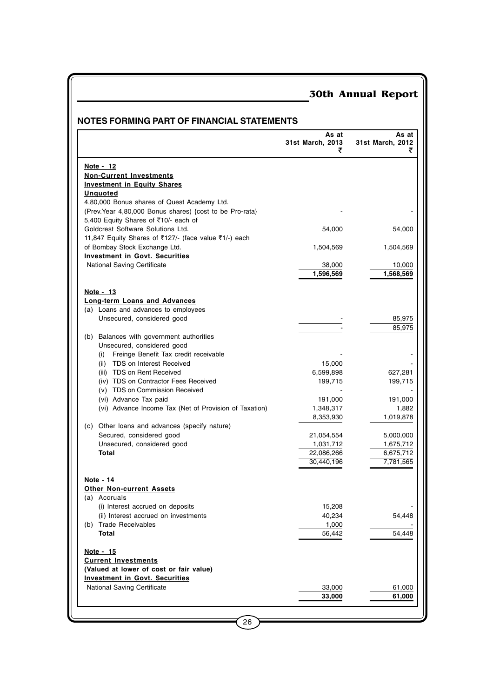## **NOTES FORMING PART OF FINANCIAL STATEMENTS**

|                                                          | As at<br>31st March, 2013<br>₹ | As at<br>31st March, 2012<br>₹ |
|----------------------------------------------------------|--------------------------------|--------------------------------|
| Note - 12                                                |                                |                                |
| <b>Non-Current Investments</b>                           |                                |                                |
| <b>Investment in Equity Shares</b>                       |                                |                                |
| <b>Unquoted</b>                                          |                                |                                |
| 4,80,000 Bonus shares of Quest Academy Ltd.              |                                |                                |
| (Prev. Year 4,80,000 Bonus shares) {cost to be Pro-rata} |                                |                                |
| 5,400 Equity Shares of ₹10/- each of                     |                                |                                |
| Goldcrest Software Solutions Ltd.                        | 54,000                         | 54,000                         |
| 11,847 Equity Shares of ₹127/- (face value ₹1/-) each    |                                |                                |
| of Bombay Stock Exchange Ltd.                            | 1,504,569                      | 1,504,569                      |
| <b>Investment in Govt. Securities</b>                    |                                |                                |
| <b>National Saving Certificate</b>                       | 38,000                         | 10,000                         |
|                                                          | 1,596,569                      | 1,568,569                      |
| Note - 13                                                |                                |                                |
| <b>Long-term Loans and Advances</b>                      |                                |                                |
| (a) Loans and advances to employees                      |                                |                                |
| Unsecured, considered good                               |                                | 85,975                         |
|                                                          |                                | 85,975                         |
| (b) Balances with government authorities                 |                                |                                |
| Unsecured, considered good                               |                                |                                |
| Freinge Benefit Tax credit receivable<br>(i)             |                                |                                |
| TDS on Interest Received<br>(ii)                         | 15,000                         |                                |
| (iii) TDS on Rent Received                               | 6,599,898                      | 627,281                        |
| (iv) TDS on Contractor Fees Received                     | 199,715                        | 199,715                        |
| (v) TDS on Commission Received                           |                                |                                |
| (vi) Advance Tax paid                                    | 191,000                        | 191,000                        |
| (vi) Advance Income Tax (Net of Provision of Taxation)   | 1,348,317                      | 1,882                          |
|                                                          | 8,353,930                      | 1,019,878                      |
| (c) Other loans and advances (specify nature)            |                                |                                |
| Secured, considered good                                 | 21,054,554                     | 5,000,000                      |
| Unsecured, considered good                               | 1,031,712                      | 1,675,712                      |
| Total                                                    | 22,086,266<br>30,440,196       | 6,675,712                      |
|                                                          |                                | 7,781,565                      |
| Note - 14                                                |                                |                                |
| <b>Other Non-current Assets</b>                          |                                |                                |
| (a) Accruals                                             |                                |                                |
| (i) Interest accrued on deposits                         | 15,208                         |                                |
| (ii) Interest accrued on investments                     | 40,234                         | 54,448                         |
| (b) Trade Receivables                                    | 1,000                          |                                |
| Total                                                    | 56,442                         | 54,448                         |
| Note - 15                                                |                                |                                |
| <b>Current Investments</b>                               |                                |                                |
| (Valued at lower of cost or fair value)                  |                                |                                |
| <b>Investment in Govt. Securities</b>                    |                                |                                |
| National Saving Certificate                              | 33,000                         | 61,000                         |
|                                                          | 33,000                         | 61,000                         |
|                                                          |                                |                                |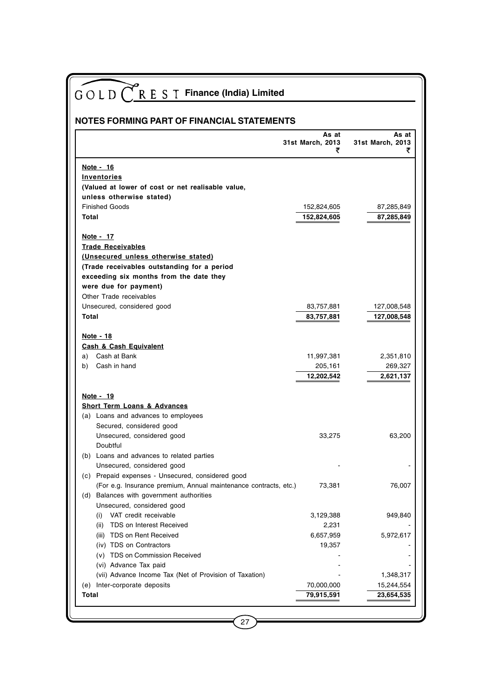| GOLD C R E S T Finance (India) Limited                           |                           |                           |  |  |  |  |  |
|------------------------------------------------------------------|---------------------------|---------------------------|--|--|--|--|--|
|                                                                  |                           |                           |  |  |  |  |  |
| NOTES FORMING PART OF FINANCIAL STATEMENTS                       |                           |                           |  |  |  |  |  |
|                                                                  | As at<br>31st March, 2013 | As at<br>31st March, 2013 |  |  |  |  |  |
|                                                                  | ₹                         | ₹                         |  |  |  |  |  |
| Note - 16                                                        |                           |                           |  |  |  |  |  |
| Inventories                                                      |                           |                           |  |  |  |  |  |
| (Valued at lower of cost or net realisable value,                |                           |                           |  |  |  |  |  |
| unless otherwise stated)                                         |                           |                           |  |  |  |  |  |
| <b>Finished Goods</b>                                            | 152,824,605               | 87,285,849                |  |  |  |  |  |
| Total                                                            | 152,824,605               | 87,285,849                |  |  |  |  |  |
| Note - 17                                                        |                           |                           |  |  |  |  |  |
| <b>Trade Receivables</b>                                         |                           |                           |  |  |  |  |  |
| (Unsecured unless otherwise stated)                              |                           |                           |  |  |  |  |  |
| (Trade receivables outstanding for a period                      |                           |                           |  |  |  |  |  |
| exceeding six months from the date they                          |                           |                           |  |  |  |  |  |
| were due for payment)                                            |                           |                           |  |  |  |  |  |
| Other Trade receivables                                          |                           |                           |  |  |  |  |  |
| Unsecured, considered good                                       | 83,757,881                | 127,008,548               |  |  |  |  |  |
| <b>Total</b>                                                     | 83,757,881                | 127,008,548               |  |  |  |  |  |
|                                                                  |                           |                           |  |  |  |  |  |
| Note - 18                                                        |                           |                           |  |  |  |  |  |
| <b>Cash &amp; Cash Equivalent</b><br>a) Cash at Bank             |                           |                           |  |  |  |  |  |
|                                                                  | 11,997,381                | 2,351,810                 |  |  |  |  |  |
| Cash in hand<br>b)                                               | 205,161<br>12,202,542     | 269,327<br>2,621,137      |  |  |  |  |  |
|                                                                  |                           |                           |  |  |  |  |  |
| Note - 19                                                        |                           |                           |  |  |  |  |  |
| <b>Short Term Loans &amp; Advances</b>                           |                           |                           |  |  |  |  |  |
| (a) Loans and advances to employees                              |                           |                           |  |  |  |  |  |
| Secured, considered good                                         |                           |                           |  |  |  |  |  |
| Unsecured, considered good                                       | 33,275                    | 63,200                    |  |  |  |  |  |
| Doubtful                                                         |                           |                           |  |  |  |  |  |
| (b) Loans and advances to related parties                        |                           |                           |  |  |  |  |  |
| Unsecured, considered good                                       |                           |                           |  |  |  |  |  |
| (c) Prepaid expenses - Unsecured, considered good                |                           |                           |  |  |  |  |  |
| (For e.g. Insurance premium, Annual maintenance contracts, etc.) | 73,381                    | 76,007                    |  |  |  |  |  |
| (d) Balances with government authorities                         |                           |                           |  |  |  |  |  |
| Unsecured, considered good                                       |                           |                           |  |  |  |  |  |
| VAT credit receivable<br>(i)                                     | 3,129,388                 | 949,840                   |  |  |  |  |  |
| TDS on Interest Received<br>(ii)                                 | 2,231                     |                           |  |  |  |  |  |
| (iii) TDS on Rent Received                                       | 6,657,959                 | 5,972,617                 |  |  |  |  |  |
| (iv) TDS on Contractors                                          | 19,357                    |                           |  |  |  |  |  |
| (v) TDS on Commission Received                                   |                           |                           |  |  |  |  |  |
| (vi) Advance Tax paid                                            |                           |                           |  |  |  |  |  |
| (vii) Advance Income Tax (Net of Provision of Taxation)          |                           | 1,348,317                 |  |  |  |  |  |
| (e) Inter-corporate deposits                                     | 70,000,000                | 15,244,554                |  |  |  |  |  |
| Total                                                            | 79,915,591                | 23,654,535                |  |  |  |  |  |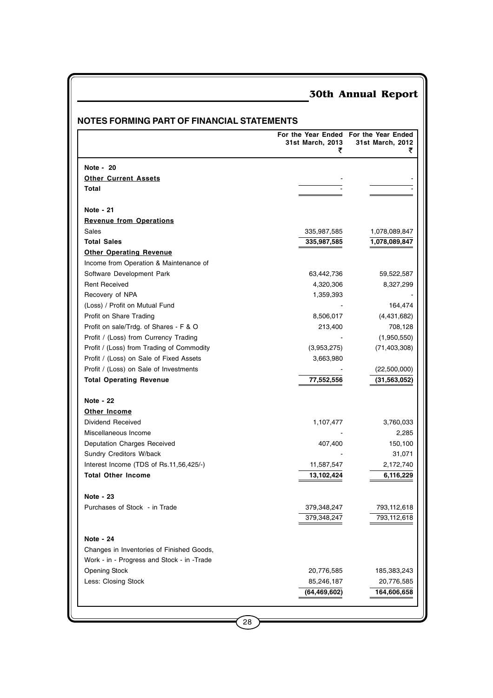|                                            | For the Year Ended For the Year Ended<br>31st March, 2013<br>₹ | 31st March, 2012<br>₹ |
|--------------------------------------------|----------------------------------------------------------------|-----------------------|
| Note - 20                                  |                                                                |                       |
| <b>Other Current Assets</b>                |                                                                |                       |
| Total                                      |                                                                |                       |
| Note - 21                                  |                                                                |                       |
| <b>Revenue from Operations</b>             |                                                                |                       |
| Sales                                      | 335,987,585                                                    | 1,078,089,847         |
| <b>Total Sales</b>                         | 335,987,585                                                    | 1,078,089,847         |
| <b>Other Operating Revenue</b>             |                                                                |                       |
| Income from Operation & Maintenance of     |                                                                |                       |
| Software Development Park                  | 63,442,736                                                     | 59,522,587            |
| <b>Rent Received</b>                       | 4,320,306                                                      | 8,327,299             |
| Recovery of NPA                            | 1,359,393                                                      |                       |
| (Loss) / Profit on Mutual Fund             |                                                                | 164,474               |
| Profit on Share Trading                    | 8,506,017                                                      | (4,431,682)           |
| Profit on sale/Trdg. of Shares - F & O     | 213,400                                                        | 708,128               |
| Profit / (Loss) from Currency Trading      |                                                                | (1,950,550)           |
| Profit / (Loss) from Trading of Commodity  | (3,953,275)                                                    | (71, 403, 308)        |
| Profit / (Loss) on Sale of Fixed Assets    | 3,663,980                                                      |                       |
| Profit / (Loss) on Sale of Investments     |                                                                | (22,500,000)          |
| <b>Total Operating Revenue</b>             | 77,552,556                                                     | (31, 563, 052)        |
| Note - 22                                  |                                                                |                       |
| Other Income                               |                                                                |                       |
| Dividend Received                          | 1,107,477                                                      | 3,760,033             |
| Miscellaneous Income                       |                                                                | 2,285                 |
| Deputation Charges Received                | 407,400                                                        | 150,100               |
| Sundry Creditors W/back                    |                                                                | 31,071                |
| Interest Income (TDS of Rs.11,56,425/-)    | 11,587,547                                                     | 2,172,740             |
| <b>Total Other Income</b>                  | 13,102,424                                                     | 6,116,229             |
| Note - 23                                  |                                                                |                       |
| Purchases of Stock - in Trade              | 379,348,247                                                    | 793,112,618           |
|                                            | 379,348,247                                                    | 793,112,618           |
| Note - 24                                  |                                                                |                       |
| Changes in Inventories of Finished Goods,  |                                                                |                       |
| Work - in - Progress and Stock - in -Trade |                                                                |                       |
| <b>Opening Stock</b>                       | 20,776,585                                                     | 185,383,243           |
| Less: Closing Stock                        | 85,246,187                                                     | 20,776,585            |
|                                            | (64, 469, 602)                                                 | 164,606,658           |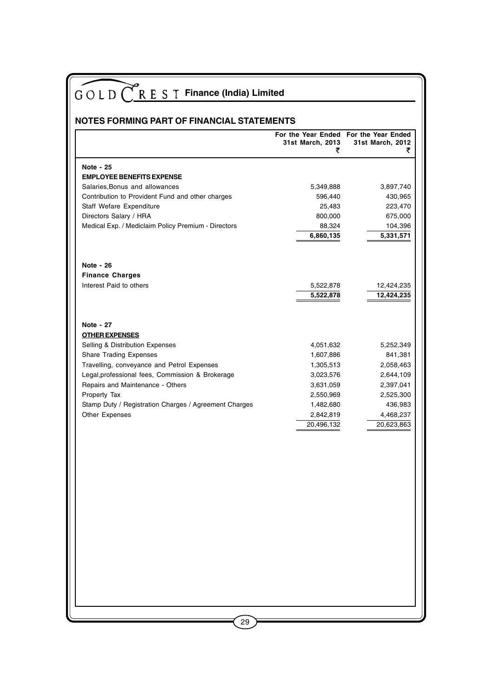| <b>NOTES FORMING PART OF FINANCIAL STATEMENTS</b><br>Note - 25                                                                                                                                                                                                                                                                          | 31st March, 2013<br>₹                                                                                              | For the Year Ended For the Year Ended<br>31st March, 2012                                                      |
|-----------------------------------------------------------------------------------------------------------------------------------------------------------------------------------------------------------------------------------------------------------------------------------------------------------------------------------------|--------------------------------------------------------------------------------------------------------------------|----------------------------------------------------------------------------------------------------------------|
|                                                                                                                                                                                                                                                                                                                                         |                                                                                                                    |                                                                                                                |
|                                                                                                                                                                                                                                                                                                                                         |                                                                                                                    |                                                                                                                |
| <b>EMPLOYEE BENEFITS EXPENSE</b><br>Salaries, Bonus and allowances<br>Contribution to Provident Fund and other charges<br>Staff Wefare Expenditure<br>Directors Salary / HRA<br>Medical Exp. / Mediclaim Policy Premium - Directors                                                                                                     | 5,349,888<br>596,440<br>25,483<br>800,000<br>88,324<br>6,860,135                                                   | 3,897,740<br>430,965<br>223,470<br>675,000<br>104,396<br>5,331,571                                             |
| Note - 26<br><b>Finance Charges</b><br>Interest Paid to others                                                                                                                                                                                                                                                                          | 5,522,878<br>5,522,878                                                                                             | 12,424,235<br>12,424,235                                                                                       |
| Note - 27<br><b>OTHER EXPENSES</b><br>Selling & Distribution Expenses<br><b>Share Trading Expenses</b><br>Travelling, conveyance and Petrol Expenses<br>Legal, professional fees, Commission & Brokerage<br>Repairs and Maintenance - Others<br>Property Tax<br>Stamp Duty / Registration Charges / Agreement Charges<br>Other Expenses | 4,051,632<br>1,607,886<br>1,305,513<br>3,023,576<br>3,631,059<br>2,550,969<br>1,482,680<br>2,842,819<br>20,496,132 | 5,252,349<br>841,381<br>2,058,463<br>2,644,109<br>2,397,041<br>2,525,300<br>436,983<br>4,468,237<br>20,623,863 |
| 29                                                                                                                                                                                                                                                                                                                                      |                                                                                                                    |                                                                                                                |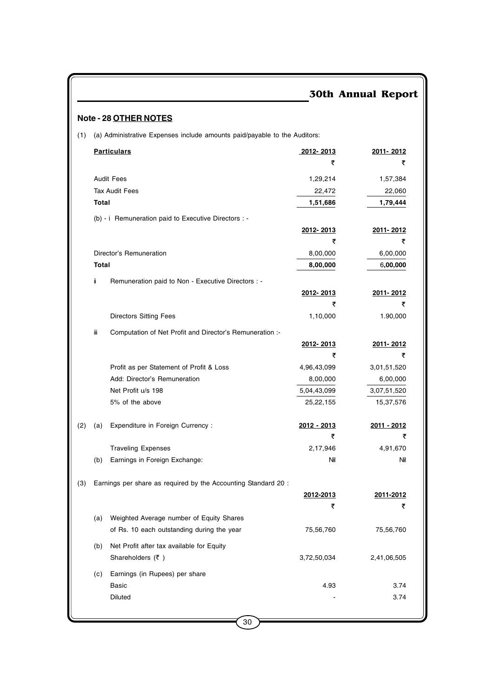## **Note - 28 OTHER NOTES**

(1) (a) Administrative Expenses include amounts paid/payable to the Auditors:

|     |       | <b>Particulars</b>                                             | 2012-2013        | 2011-2012   |
|-----|-------|----------------------------------------------------------------|------------------|-------------|
|     |       |                                                                | ₹                | ₹           |
|     |       | <b>Audit Fees</b>                                              | 1,29,214         | 1,57,384    |
|     |       | <b>Tax Audit Fees</b>                                          | 22,472           | 22,060      |
|     | Total |                                                                | 1,51,686         | 1,79,444    |
|     |       | (b) - i Remuneration paid to Executive Directors : -           |                  |             |
|     |       |                                                                | 2012-2013        | 2011-2012   |
|     |       |                                                                | ₹                | ₹           |
|     |       | Director's Remuneration                                        | 8,00,000         | 6,00,000    |
|     | Total |                                                                | 8,00,000         | 6,00,000    |
|     | ij.   | Remuneration paid to Non - Executive Directors : -             |                  |             |
|     |       |                                                                | 2012-2013        | 2011-2012   |
|     |       |                                                                | ₹                | ₹           |
|     |       | <b>Directors Sitting Fees</b>                                  | 1,10,000         | 1.90,000    |
|     | Ш     | Computation of Net Profit and Director's Remuneration :-       |                  |             |
|     |       |                                                                | <u>2012-2013</u> | 2011-2012   |
|     |       |                                                                | ₹                | ₹           |
|     |       | Profit as per Statement of Profit & Loss                       | 4,96,43,099      | 3,01,51,520 |
|     |       | Add: Director's Remuneration                                   | 8,00,000         | 6,00,000    |
|     |       | Net Profit u/s 198                                             | 5,04,43,099      | 3,07,51,520 |
|     |       | 5% of the above                                                | 25,22,155        | 15,37,576   |
| (2) | (a)   | Expenditure in Foreign Currency:                               | 2012 - 2013      | 2011 - 2012 |
|     |       |                                                                | ₹                | ₹           |
|     |       | <b>Traveling Expenses</b>                                      | 2,17,946         | 4,91,670    |
|     | (b)   | Earnings in Foreign Exchange:                                  | Nil              | Nil         |
|     |       |                                                                |                  |             |
| (3) |       | Earnings per share as required by the Accounting Standard 20 : |                  |             |
|     |       |                                                                | 2012-2013        | 2011-2012   |
|     |       |                                                                | ₹                | ₹           |
|     | (a)   | Weighted Average number of Equity Shares                       |                  |             |
|     |       | of Rs. 10 each outstanding during the year                     | 75,56,760        | 75,56,760   |
|     | (b)   | Net Profit after tax available for Equity                      |                  |             |
|     |       | Shareholders $(\bar{\tau})$                                    | 3,72,50,034      | 2,41,06,505 |
|     | (c)   | Earnings (in Rupees) per share                                 |                  |             |
|     |       | <b>Basic</b>                                                   | 4.93             | 3.74        |
|     |       | Diluted                                                        |                  | 3.74        |
|     |       |                                                                |                  |             |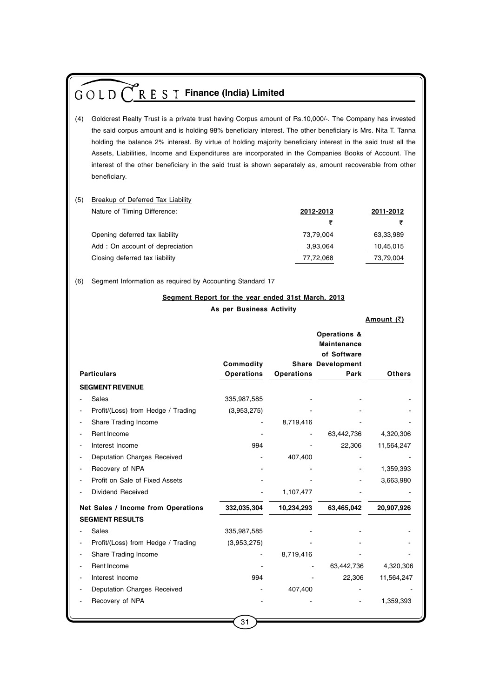|     | R E S T Finance (India) Limited<br>GOLD <sup>(</sup>                                                                                                                                                                                                                                                                                                                                                                                                                                                                                                                         |                          |                   |                                            |                   |  |  |  |  |
|-----|------------------------------------------------------------------------------------------------------------------------------------------------------------------------------------------------------------------------------------------------------------------------------------------------------------------------------------------------------------------------------------------------------------------------------------------------------------------------------------------------------------------------------------------------------------------------------|--------------------------|-------------------|--------------------------------------------|-------------------|--|--|--|--|
| (4) | Goldcrest Realty Trust is a private trust having Corpus amount of Rs.10,000/-. The Company has invested<br>the said corpus amount and is holding 98% beneficiary interest. The other beneficiary is Mrs. Nita T. Tanna<br>holding the balance 2% interest. By virtue of holding majority beneficiary interest in the said trust all the<br>Assets, Liabilities, Income and Expenditures are incorporated in the Companies Books of Account. The<br>interest of the other beneficiary in the said trust is shown separately as, amount recoverable from other<br>beneficiary. |                          |                   |                                            |                   |  |  |  |  |
| (5) | Breakup of Deferred Tax Liability                                                                                                                                                                                                                                                                                                                                                                                                                                                                                                                                            |                          |                   |                                            |                   |  |  |  |  |
|     | Nature of Timing Difference:                                                                                                                                                                                                                                                                                                                                                                                                                                                                                                                                                 |                          |                   | 2012-2013                                  | 2011-2012         |  |  |  |  |
|     |                                                                                                                                                                                                                                                                                                                                                                                                                                                                                                                                                                              |                          |                   | ₹                                          | ₹                 |  |  |  |  |
|     | Opening deferred tax liability                                                                                                                                                                                                                                                                                                                                                                                                                                                                                                                                               |                          |                   | 73,79,004                                  | 63,33,989         |  |  |  |  |
|     | Add: On account of depreciation                                                                                                                                                                                                                                                                                                                                                                                                                                                                                                                                              |                          |                   | 3,93,064                                   | 10,45,015         |  |  |  |  |
|     | Closing deferred tax liability                                                                                                                                                                                                                                                                                                                                                                                                                                                                                                                                               |                          |                   | 77,72,068                                  | 73,79,004         |  |  |  |  |
| (6) | Segment Information as required by Accounting Standard 17                                                                                                                                                                                                                                                                                                                                                                                                                                                                                                                    |                          |                   |                                            |                   |  |  |  |  |
|     | Segment Report for the year ended 31st March, 2013                                                                                                                                                                                                                                                                                                                                                                                                                                                                                                                           |                          |                   |                                            |                   |  |  |  |  |
|     |                                                                                                                                                                                                                                                                                                                                                                                                                                                                                                                                                                              | As per Business Activity |                   |                                            |                   |  |  |  |  |
|     |                                                                                                                                                                                                                                                                                                                                                                                                                                                                                                                                                                              |                          |                   |                                            | <u>Amount (₹)</u> |  |  |  |  |
|     |                                                                                                                                                                                                                                                                                                                                                                                                                                                                                                                                                                              |                          |                   | Operations &<br>Maintenance<br>of Software |                   |  |  |  |  |
|     | <b>Particulars</b>                                                                                                                                                                                                                                                                                                                                                                                                                                                                                                                                                           | Commodity<br>Operations  | <b>Operations</b> | <b>Share Development</b><br>Park           | <b>Others</b>     |  |  |  |  |
|     | <b>SEGMENT REVENUE</b>                                                                                                                                                                                                                                                                                                                                                                                                                                                                                                                                                       |                          |                   |                                            |                   |  |  |  |  |
|     | Sales                                                                                                                                                                                                                                                                                                                                                                                                                                                                                                                                                                        | 335,987,585              |                   |                                            |                   |  |  |  |  |
|     | Profit/(Loss) from Hedge / Trading                                                                                                                                                                                                                                                                                                                                                                                                                                                                                                                                           | (3,953,275)              |                   |                                            |                   |  |  |  |  |
|     | Share Trading Income                                                                                                                                                                                                                                                                                                                                                                                                                                                                                                                                                         |                          | 8,719,416         |                                            |                   |  |  |  |  |
|     | Rent Income                                                                                                                                                                                                                                                                                                                                                                                                                                                                                                                                                                  |                          |                   | 63,442,736                                 | 4,320,306         |  |  |  |  |
|     | Interest Income                                                                                                                                                                                                                                                                                                                                                                                                                                                                                                                                                              | 994                      |                   | 22,306                                     | 11,564,247        |  |  |  |  |
|     | Deputation Charges Received                                                                                                                                                                                                                                                                                                                                                                                                                                                                                                                                                  |                          | 407,400           |                                            |                   |  |  |  |  |
|     | Recovery of NPA                                                                                                                                                                                                                                                                                                                                                                                                                                                                                                                                                              |                          |                   |                                            | 1,359,393         |  |  |  |  |
|     | Profit on Sale of Fixed Assets                                                                                                                                                                                                                                                                                                                                                                                                                                                                                                                                               |                          |                   |                                            | 3,663,980         |  |  |  |  |
|     | Dividend Received                                                                                                                                                                                                                                                                                                                                                                                                                                                                                                                                                            |                          | 1,107,477         |                                            |                   |  |  |  |  |
|     | Net Sales / Income from Operations                                                                                                                                                                                                                                                                                                                                                                                                                                                                                                                                           | 332,035,304              | 10,234,293        | 63,465,042                                 | 20,907,926        |  |  |  |  |
|     | <b>SEGMENT RESULTS</b>                                                                                                                                                                                                                                                                                                                                                                                                                                                                                                                                                       |                          |                   |                                            |                   |  |  |  |  |
|     | Sales                                                                                                                                                                                                                                                                                                                                                                                                                                                                                                                                                                        | 335,987,585              |                   |                                            |                   |  |  |  |  |
|     | Profit/(Loss) from Hedge / Trading                                                                                                                                                                                                                                                                                                                                                                                                                                                                                                                                           | (3,953,275)              |                   |                                            |                   |  |  |  |  |
|     | Share Trading Income                                                                                                                                                                                                                                                                                                                                                                                                                                                                                                                                                         |                          | 8,719,416         |                                            |                   |  |  |  |  |
|     | Rent Income                                                                                                                                                                                                                                                                                                                                                                                                                                                                                                                                                                  |                          |                   | 63,442,736                                 | 4,320,306         |  |  |  |  |
|     | Interest Income                                                                                                                                                                                                                                                                                                                                                                                                                                                                                                                                                              | 994                      |                   | 22,306                                     | 11,564,247        |  |  |  |  |
|     | Deputation Charges Received                                                                                                                                                                                                                                                                                                                                                                                                                                                                                                                                                  |                          | 407,400           |                                            |                   |  |  |  |  |
|     | Recovery of NPA                                                                                                                                                                                                                                                                                                                                                                                                                                                                                                                                                              |                          |                   |                                            | 1,359,393         |  |  |  |  |
|     |                                                                                                                                                                                                                                                                                                                                                                                                                                                                                                                                                                              |                          |                   |                                            |                   |  |  |  |  |

 $\binom{31}{ }$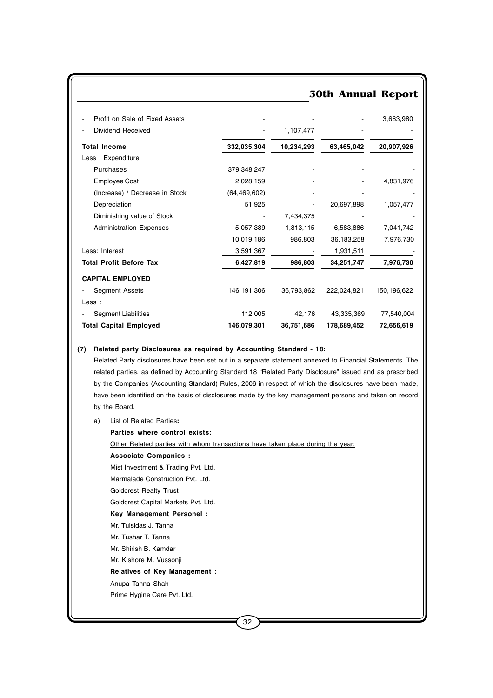## 30th Annual Report - Profit on Sale of Fixed Assets - - - 3,663,980 Dividend Received **- 1,107,477 Total Income 332,035,304 10,234,293 63,465,042 20,907,926** Less : Expenditure Purchases 379,348,247 Employee Cost 2,028,159 - - 4,831,976  $(Increasing) / Decrease in Stock$   $(64,469,602)$ Depreciation 51,925 - 20,697,898 1,057,477 Diminishing value of Stock  $\sim$  7,434,375 Administration Expenses 5,057,389 1,813,115 6,583,886 7,041,742 10,019,186 986,803 36,183,258 7,976,730 Less: Interest 2,591,367 - 1,931,511 **Total Profit Before Tax 6,427,819 986,803 34,251,747 7,976,730 CAPITAL EMPLOYED** - Segment Assets 146,191,306 36,793,862 222,024,821 150,196,622 Less : - Segment Liabilities 112,005 42,176 43,335,369 77,540,004 **Total Capital Employed 146,079,301 36,751,686 178,689,452 72,656,619**

#### **(7) Related party Disclosures as required by Accounting Standard - 18:**

Related Party disclosures have been set out in a separate statement annexed to Financial Statements. The related parties, as defined by Accounting Standard 18 "Related Party Disclosure" issued and as prescribed by the Companies (Accounting Standard) Rules, 2006 in respect of which the disclosures have been made, have been identified on the basis of disclosures made by the key management persons and taken on record by the Board.

#### a) List of Related Parties**:**

#### **Parties where control exists:**

Other Related parties with whom transactions have taken place during the year:

**Associate Companies :**

Mist Investment & Trading Pvt. Ltd.

Marmalade Construction Pvt. Ltd.

Goldcrest Realty Trust

Goldcrest Capital Markets Pvt. Ltd.

#### **Key Management Personel :**

Mr. Tulsidas J. Tanna

Mr. Tushar T. Tanna

Mr. Shirish B. Kamdar

Mr. Kishore M. Vussonji

#### **Relatives of Key Management :**

Anupa Tanna Shah

Prime Hygine Care Pvt. Ltd.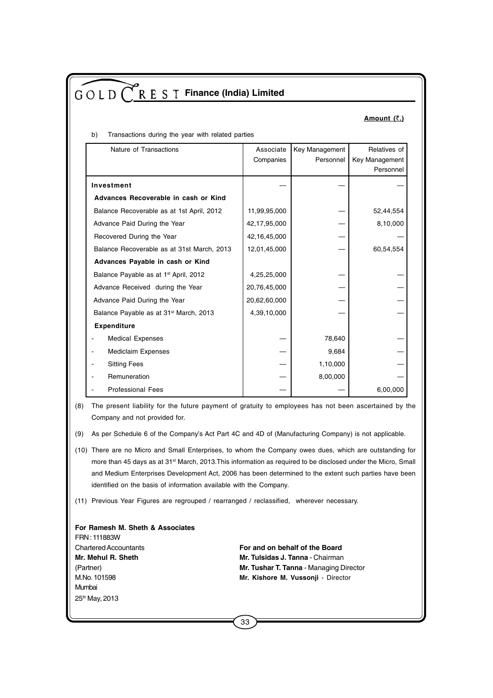#### **Amount (**`**.)**

| b) | Transactions during the year with related parties |  |  |  |
|----|---------------------------------------------------|--|--|--|

| Nature of Transactions                             | Associate    | Key Management | Relatives of   |
|----------------------------------------------------|--------------|----------------|----------------|
|                                                    | Companies    | Personnel      | Key Management |
|                                                    |              |                | Personnel      |
| Investment                                         |              |                |                |
| Advances Recoverable in cash or Kind               |              |                |                |
| Balance Recoverable as at 1st April, 2012          | 11,99,95,000 |                | 52,44,554      |
| Advance Paid During the Year                       | 42,17,95,000 |                | 8,10,000       |
| Recovered During the Year                          | 42,16,45,000 |                |                |
| Balance Recoverable as at 31st March, 2013         | 12,01,45,000 |                | 60,54,554      |
| Advances Payable in cash or Kind                   |              |                |                |
| Balance Payable as at 1 <sup>st</sup> April, 2012  | 4,25,25,000  |                |                |
| Advance Received during the Year                   | 20,76,45,000 |                |                |
| Advance Paid During the Year                       | 20,62,60,000 |                |                |
| Balance Payable as at 31 <sup>st</sup> March, 2013 | 4,39,10,000  |                |                |
| <b>Expenditure</b>                                 |              |                |                |
| <b>Medical Expenses</b>                            |              | 78,640         |                |
| <b>Mediclaim Expenses</b>                          |              | 9,684          |                |
| <b>Sitting Fees</b>                                |              | 1,10,000       |                |
| Remuneration                                       |              | 8,00,000       |                |
| <b>Professional Fees</b>                           |              |                | 6,00,000       |

(8) The present liability for the future payment of gratuity to employees has not been ascertained by the Company and not provided for.

- (9) As per Schedule 6 of the Company's Act Part 4C and 4D of (Manufacturing Company) is not applicable.
- (10) There are no Micro and Small Enterprises, to whom the Company owes dues, which are outstanding for more than 45 days as at 31<sup>st</sup> March, 2013. This information as required to be disclosed under the Micro, Small and Medium Enterprises Development Act, 2006 has been determined to the extent such parties have been identified on the basis of information available with the Company.
- (11) Previous Year Figures are regrouped / rearranged / reclassified, wherever necessary.

**For Ramesh M. Sheth & Associates** FRN : 111883W Chartered Accountants **For and on behalf of the Board Mr. Mehul R. Sheth Mr. Tulsidas J. Tanna - Chairman** (Partner) **Mr. Tushar T. Tanna** - Managing Director M.No. 101598 **Mr. Kishore M. Vussonji** - Director Mumbai 25th May, 2013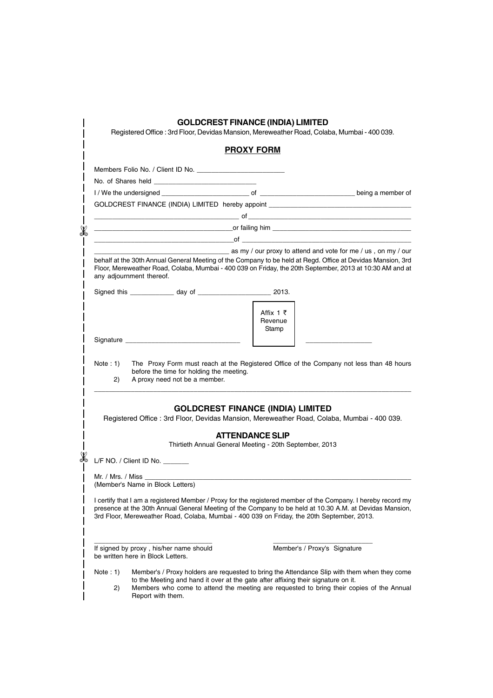|                   |                                                                                                        | <b>GOLDCREST FINANCE (INDIA) LIMITED</b>                | Registered Office : 3rd Floor, Devidas Mansion, Mereweather Road, Colaba, Mumbai - 400 039.                                                                                                                                                                                                                           |
|-------------------|--------------------------------------------------------------------------------------------------------|---------------------------------------------------------|-----------------------------------------------------------------------------------------------------------------------------------------------------------------------------------------------------------------------------------------------------------------------------------------------------------------------|
|                   |                                                                                                        | <b>PROXY FORM</b>                                       |                                                                                                                                                                                                                                                                                                                       |
|                   | Members Folio No. / Client ID No.                                                                      |                                                         |                                                                                                                                                                                                                                                                                                                       |
|                   | No. of Shares held <b>No.</b> 06 Shares held                                                           |                                                         |                                                                                                                                                                                                                                                                                                                       |
|                   |                                                                                                        |                                                         |                                                                                                                                                                                                                                                                                                                       |
|                   |                                                                                                        |                                                         | GOLDCREST FINANCE (INDIA) LIMITED hereby appoint _______________________________                                                                                                                                                                                                                                      |
|                   |                                                                                                        |                                                         | $\mathsf{d}$ , and the contract of $\mathsf{d}$ , and $\mathsf{d}$ , and $\mathsf{d}$ , and $\mathsf{d}$ , and $\mathsf{d}$ , and $\mathsf{d}$                                                                                                                                                                        |
|                   |                                                                                                        |                                                         |                                                                                                                                                                                                                                                                                                                       |
|                   |                                                                                                        |                                                         |                                                                                                                                                                                                                                                                                                                       |
|                   | any adjournment thereof.                                                                               |                                                         | behalf at the 30th Annual General Meeting of the Company to be held at Regd. Office at Devidas Mansion, 3rd<br>Floor, Mereweather Road, Colaba, Mumbai - 400 039 on Friday, the 20th September, 2013 at 10:30 AM and at                                                                                               |
|                   |                                                                                                        |                                                         |                                                                                                                                                                                                                                                                                                                       |
|                   |                                                                                                        | Affix 1 ₹<br>Revenue<br>Stamp                           |                                                                                                                                                                                                                                                                                                                       |
|                   |                                                                                                        |                                                         |                                                                                                                                                                                                                                                                                                                       |
|                   |                                                                                                        | <b>GOLDCREST FINANCE (INDIA) LIMITED</b>                |                                                                                                                                                                                                                                                                                                                       |
|                   |                                                                                                        |                                                         | Registered Office : 3rd Floor, Devidas Mansion, Mereweather Road, Colaba, Mumbai - 400 039.                                                                                                                                                                                                                           |
|                   |                                                                                                        | <b>ATTENDANCE SLIP</b>                                  |                                                                                                                                                                                                                                                                                                                       |
|                   |                                                                                                        | Thirtieth Annual General Meeting - 20th September, 2013 |                                                                                                                                                                                                                                                                                                                       |
|                   | L/F NO. / Client ID No. ______                                                                         |                                                         |                                                                                                                                                                                                                                                                                                                       |
|                   | Mr. / Mrs. / Miss                                                                                      |                                                         |                                                                                                                                                                                                                                                                                                                       |
|                   | (Member's Name in Block Letters)                                                                       |                                                         |                                                                                                                                                                                                                                                                                                                       |
|                   |                                                                                                        |                                                         | I certify that I am a registered Member / Proxy for the registered member of the Company. I hereby record my<br>presence at the 30th Annual General Meeting of the Company to be held at 10.30 A.M. at Devidas Mansion,<br>3rd Floor, Mereweather Road, Colaba, Mumbai - 400 039 on Friday, the 20th September, 2013. |
|                   | If signed by proxy, his/her name should<br>be written here in Block Letters.                           |                                                         | Member's / Proxy's Signature                                                                                                                                                                                                                                                                                          |
| Note $: 1)$<br>2) | to the Meeting and hand it over at the gate after affixing their signature on it.<br>Report with them. |                                                         | Member's / Proxy holders are requested to bring the Attendance Slip with them when they come<br>Members who come to attend the meeting are requested to bring their copies of the Annual                                                                                                                              |